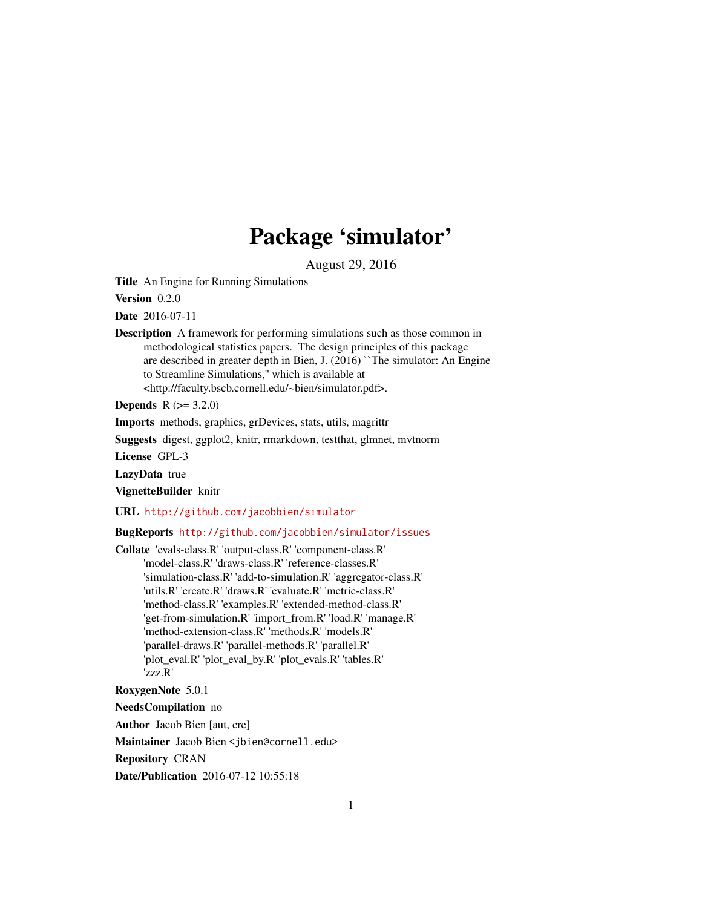# Package 'simulator'

August 29, 2016

<span id="page-0-0"></span>Title An Engine for Running Simulations

Version 0.2.0

Date 2016-07-11

Description A framework for performing simulations such as those common in methodological statistics papers. The design principles of this package are described in greater depth in Bien, J. (2016) ``The simulator: An Engine to Streamline Simulations,'' which is available at <http://faculty.bscb.cornell.edu/~bien/simulator.pdf>.

**Depends**  $R (= 3.2.0)$ 

Imports methods, graphics, grDevices, stats, utils, magrittr

Suggests digest, ggplot2, knitr, rmarkdown, testthat, glmnet, mvtnorm

License GPL-3

LazyData true

VignetteBuilder knitr

URL <http://github.com/jacobbien/simulator>

## BugReports <http://github.com/jacobbien/simulator/issues>

Collate 'evals-class.R' 'output-class.R' 'component-class.R' 'model-class.R' 'draws-class.R' 'reference-classes.R' 'simulation-class.R' 'add-to-simulation.R' 'aggregator-class.R' 'utils.R' 'create.R' 'draws.R' 'evaluate.R' 'metric-class.R' 'method-class.R' 'examples.R' 'extended-method-class.R' 'get-from-simulation.R' 'import\_from.R' 'load.R' 'manage.R' 'method-extension-class.R' 'methods.R' 'models.R' 'parallel-draws.R' 'parallel-methods.R' 'parallel.R' 'plot\_eval.R' 'plot\_eval\_by.R' 'plot\_evals.R' 'tables.R' 'zzz.R'

RoxygenNote 5.0.1

NeedsCompilation no

Author Jacob Bien [aut, cre]

Maintainer Jacob Bien <jbien@cornell.edu>

Repository CRAN

Date/Publication 2016-07-12 10:55:18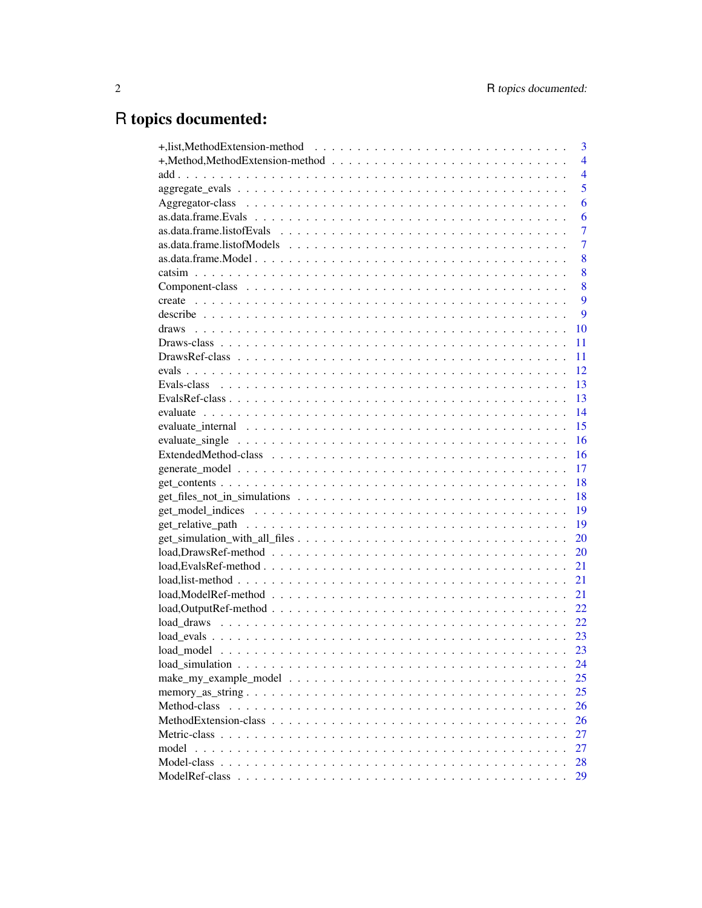# R topics documented:

|                                                                                                                | 3              |
|----------------------------------------------------------------------------------------------------------------|----------------|
|                                                                                                                | $\overline{4}$ |
|                                                                                                                | $\overline{4}$ |
|                                                                                                                | 5              |
|                                                                                                                | 6              |
|                                                                                                                | 6              |
|                                                                                                                | 7              |
|                                                                                                                | $\overline{7}$ |
|                                                                                                                | 8              |
|                                                                                                                | 8              |
|                                                                                                                | 8              |
|                                                                                                                | 9              |
|                                                                                                                | 9              |
|                                                                                                                | 10             |
|                                                                                                                | 11             |
|                                                                                                                | 11             |
|                                                                                                                | 12             |
|                                                                                                                | 13             |
|                                                                                                                | 13             |
|                                                                                                                | 14             |
| evaluate internal $\ldots \ldots \ldots \ldots \ldots \ldots \ldots \ldots \ldots \ldots \ldots \ldots \ldots$ | 15             |
|                                                                                                                | 16             |
|                                                                                                                | 16             |
|                                                                                                                | 17             |
|                                                                                                                | 18             |
|                                                                                                                | 18             |
|                                                                                                                | 19             |
| 19                                                                                                             |                |
|                                                                                                                | 20             |
|                                                                                                                | 20             |
|                                                                                                                | 21             |
|                                                                                                                | 21             |
|                                                                                                                | 21             |
|                                                                                                                | 22             |
|                                                                                                                | 22             |
|                                                                                                                |                |
|                                                                                                                | 23             |
|                                                                                                                | 24             |
|                                                                                                                | 25             |
|                                                                                                                | 25             |
| Method-class                                                                                                   | 26             |
|                                                                                                                | 26             |
|                                                                                                                | 27             |
| model                                                                                                          | 27             |
| Model-class                                                                                                    | 28             |
| ModelRef-class                                                                                                 | 29             |
|                                                                                                                |                |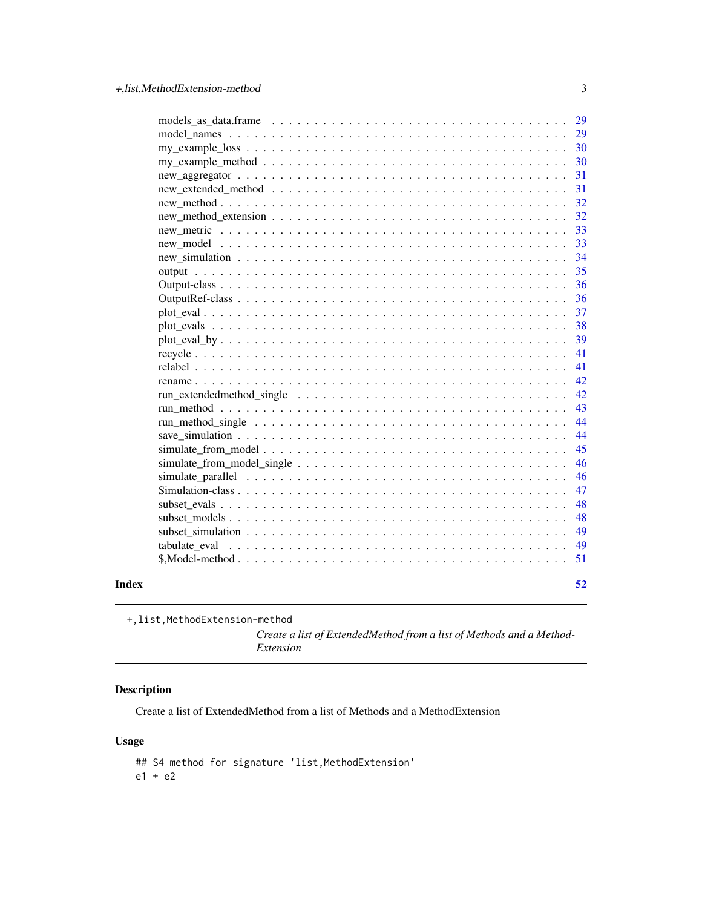<span id="page-2-0"></span>

|       |                                                                                                                | 29 |
|-------|----------------------------------------------------------------------------------------------------------------|----|
|       |                                                                                                                | 29 |
|       |                                                                                                                | 30 |
|       |                                                                                                                | 30 |
|       |                                                                                                                | 31 |
|       |                                                                                                                | 31 |
|       |                                                                                                                | 32 |
|       |                                                                                                                | 32 |
|       |                                                                                                                | 33 |
|       |                                                                                                                | 33 |
|       |                                                                                                                | 34 |
|       |                                                                                                                | 35 |
|       |                                                                                                                | 36 |
|       |                                                                                                                | 36 |
|       |                                                                                                                | 37 |
|       |                                                                                                                | 38 |
|       |                                                                                                                | 39 |
|       |                                                                                                                | 41 |
|       |                                                                                                                | 41 |
|       |                                                                                                                | 42 |
|       |                                                                                                                | 42 |
|       |                                                                                                                | 43 |
|       |                                                                                                                | 44 |
|       |                                                                                                                | 44 |
|       |                                                                                                                | 45 |
|       |                                                                                                                | 46 |
|       | simulate parallel $\ldots \ldots \ldots \ldots \ldots \ldots \ldots \ldots \ldots \ldots \ldots \ldots \ldots$ | 46 |
|       |                                                                                                                | 47 |
|       |                                                                                                                | 48 |
|       |                                                                                                                | 48 |
|       |                                                                                                                | 49 |
|       |                                                                                                                | 49 |
|       |                                                                                                                | 51 |
| Index |                                                                                                                | 52 |

+,list,MethodExtension-method

*Create a list of ExtendedMethod from a list of Methods and a Method-Extension*

## Description

Create a list of ExtendedMethod from a list of Methods and a MethodExtension

## Usage

## S4 method for signature 'list, MethodExtension' e1 + e2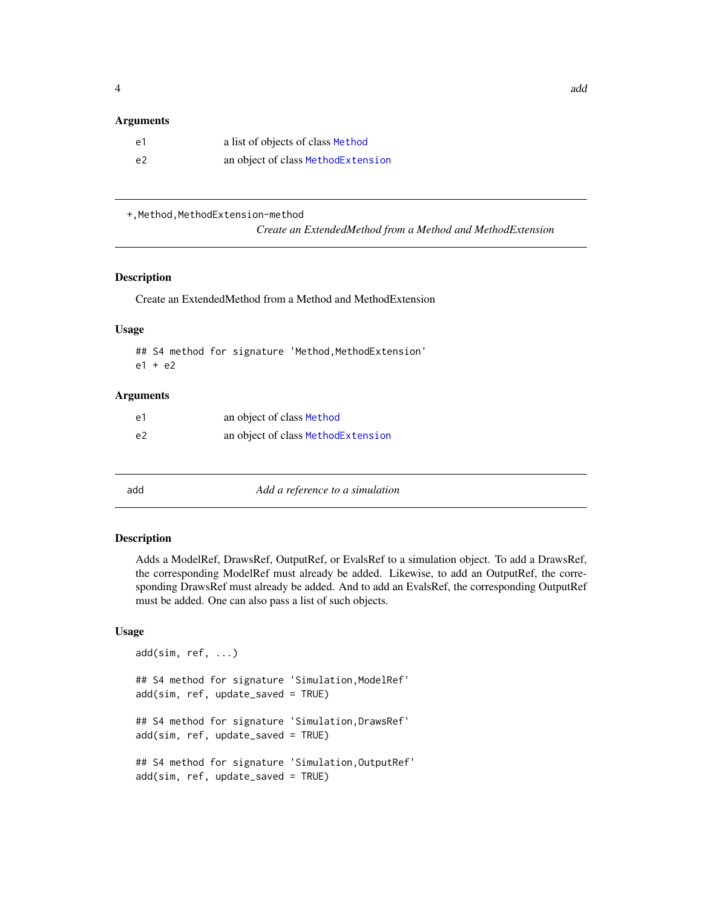#### <span id="page-3-0"></span>**Arguments**

| -e1 | a list of objects of class Method  |
|-----|------------------------------------|
| e2  | an object of class MethodExtension |

+, Method, MethodExtension-method

*Create an ExtendedMethod from a Method and MethodExtension*

## Description

Create an ExtendedMethod from a Method and MethodExtension

#### Usage

## S4 method for signature 'Method, MethodExtension' e1 + e2

#### Arguments

| e1             | an object of class Method          |
|----------------|------------------------------------|
| e <sub>2</sub> | an object of class MethodExtension |

add *Add a reference to a simulation*

#### Description

Adds a ModelRef, DrawsRef, OutputRef, or EvalsRef to a simulation object. To add a DrawsRef, the corresponding ModelRef must already be added. Likewise, to add an OutputRef, the corresponding DrawsRef must already be added. And to add an EvalsRef, the corresponding OutputRef must be added. One can also pass a list of such objects.

#### Usage

```
add(sim, ref, ...)
## S4 method for signature 'Simulation,ModelRef'
add(sim, ref, update_saved = TRUE)
## S4 method for signature 'Simulation,DrawsRef'
add(sim, ref, update_saved = TRUE)
## S4 method for signature 'Simulation,OutputRef'
add(sim, ref, update_saved = TRUE)
```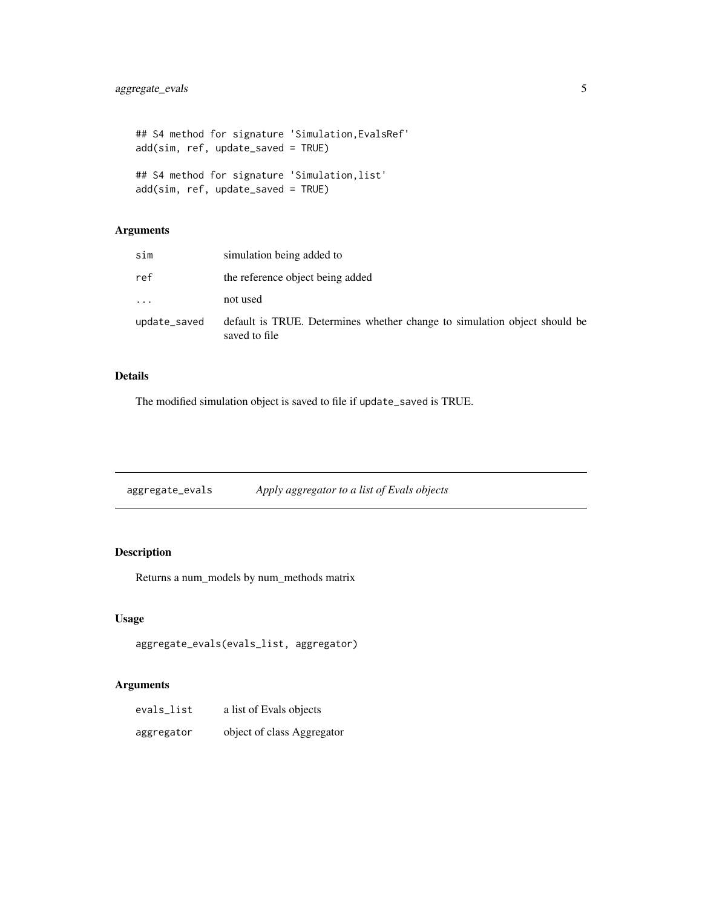```
## S4 method for signature 'Simulation,EvalsRef'
add(sim, ref, update_saved = TRUE)
## S4 method for signature 'Simulation,list'
add(sim, ref, update_saved = TRUE)
```
## Arguments

| sim                     | simulation being added to                                                                  |
|-------------------------|--------------------------------------------------------------------------------------------|
| ref                     | the reference object being added                                                           |
| $\cdot$ $\cdot$ $\cdot$ | not used                                                                                   |
| update_saved            | default is TRUE. Determines whether change to simulation object should be<br>saved to file |

#### Details

The modified simulation object is saved to file if update\_saved is TRUE.

aggregate\_evals *Apply aggregator to a list of Evals objects*

## Description

Returns a num\_models by num\_methods matrix

## Usage

```
aggregate_evals(evals_list, aggregator)
```

| evals_list | a list of Evals objects    |
|------------|----------------------------|
| aggregator | object of class Aggregator |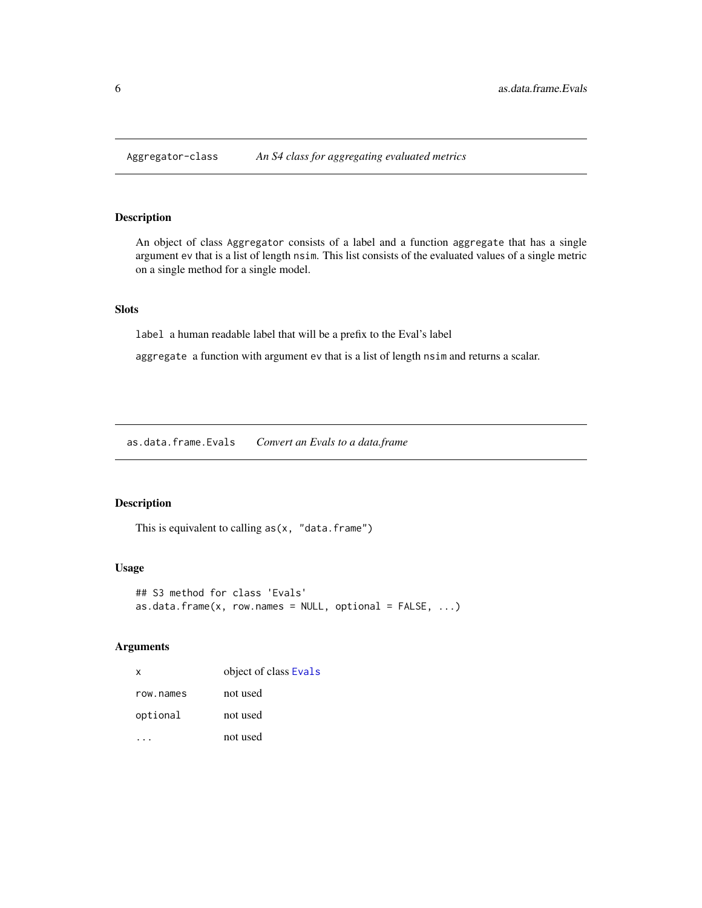<span id="page-5-2"></span><span id="page-5-0"></span>

An object of class Aggregator consists of a label and a function aggregate that has a single argument ev that is a list of length nsim. This list consists of the evaluated values of a single metric on a single method for a single model.

## Slots

label a human readable label that will be a prefix to the Eval's label

aggregate a function with argument ev that is a list of length nsim and returns a scalar.

<span id="page-5-1"></span>as.data.frame.Evals *Convert an Evals to a data.frame*

#### Description

This is equivalent to calling  $as(x, "data-frame")$ 

#### Usage

```
## S3 method for class 'Evals'
as.data.frame(x, row.names = NULL, optional = FALSE, ...)
```

| X         | object of class Evals |
|-----------|-----------------------|
| row.names | not used              |
| optional  | not used              |
|           | not used              |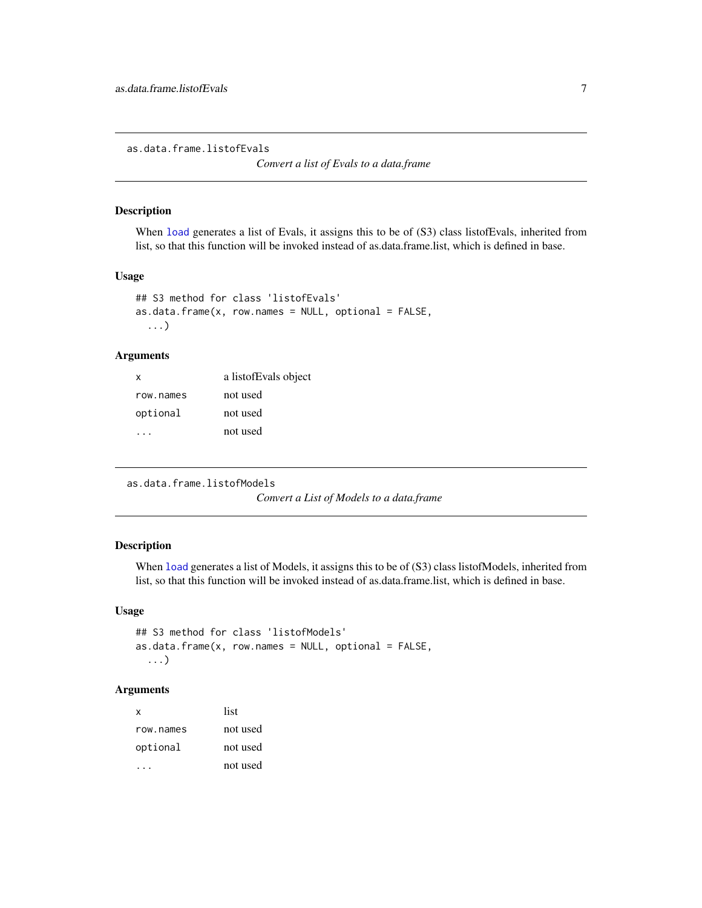<span id="page-6-0"></span>as.data.frame.listofEvals

*Convert a list of Evals to a data.frame*

## Description

When [load](#page-0-0) generates a list of Evals, it assigns this to be of  $(S3)$  class listofEvals, inherited from list, so that this function will be invoked instead of as.data.frame.list, which is defined in base.

#### Usage

```
## S3 method for class 'listofEvals'
as.data frame(x, row names = NULL, optional = FALSE,...)
```
## Arguments

| x         | a listofEvals object |
|-----------|----------------------|
| row.names | not used             |
| optional  | not used             |
|           | not used             |

```
as.data.frame.listofModels
```
*Convert a List of Models to a data.frame*

## Description

When [load](#page-0-0) generates a list of Models, it assigns this to be of (S3) class listofModels, inherited from list, so that this function will be invoked instead of as.data.frame.list, which is defined in base.

## Usage

```
## S3 method for class 'listofModels'
as.data. frame(x, row. names = NULL, optional = FALSE,...)
```

| x         | list     |
|-----------|----------|
| row.names | not used |
| optional  | not used |
|           | not used |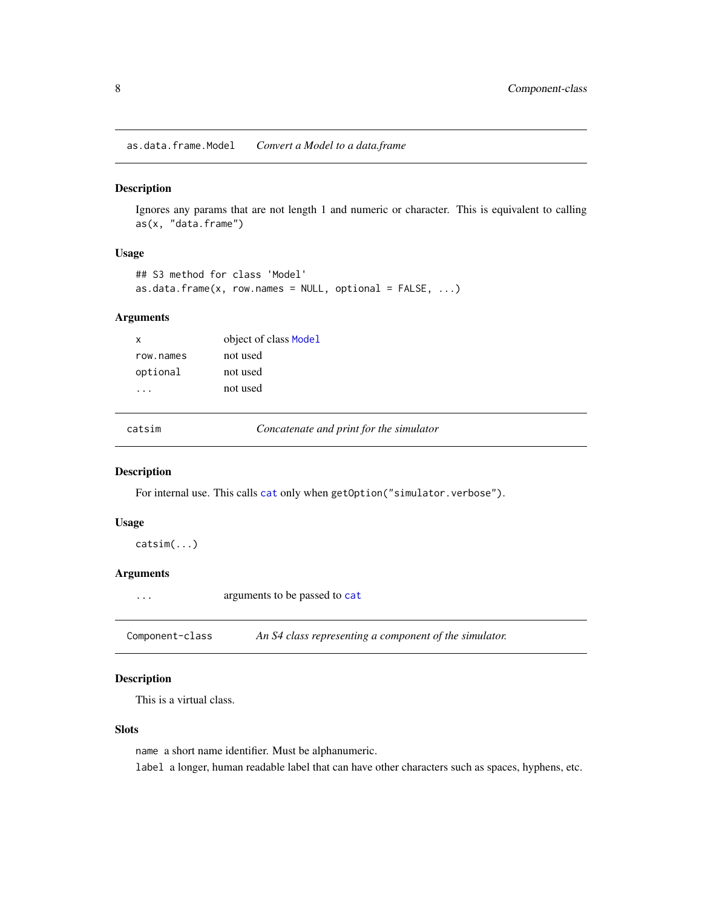<span id="page-7-0"></span>as.data.frame.Model *Convert a Model to a data.frame*

### Description

Ignores any params that are not length 1 and numeric or character. This is equivalent to calling as(x, "data.frame")

## Usage

```
## S3 method for class 'Model'
as.data.frame(x, row.names = NULL, optional = FALSE, ...)
```
#### Arguments

| x         | object of class Model |
|-----------|-----------------------|
| row names | not used              |
| optional  | not used              |
|           | not used              |
|           |                       |

catsim *Concatenate and print for the simulator*

## Description

For internal use. This calls [cat](#page-0-0) only when getOption("simulator.verbose").

## Usage

catsim(...)

## Arguments

... arguments to be passed to [cat](#page-0-0)

<span id="page-7-1"></span>Component-class *An S4 class representing a component of the simulator.*

## Description

This is a virtual class.

#### Slots

name a short name identifier. Must be alphanumeric. label a longer, human readable label that can have other characters such as spaces, hyphens, etc.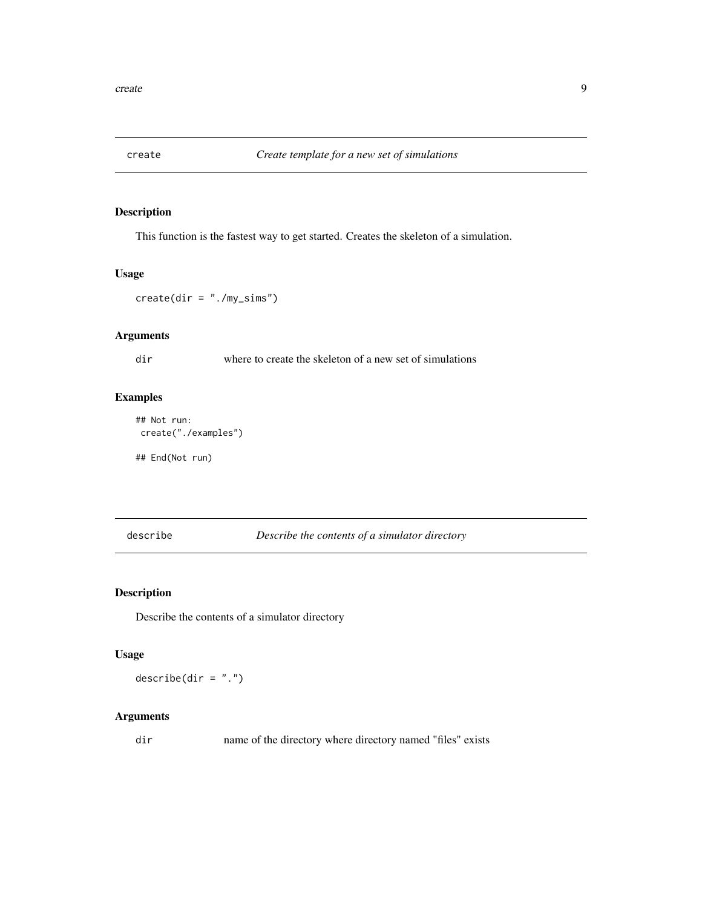<span id="page-8-0"></span>

This function is the fastest way to get started. Creates the skeleton of a simulation.

#### Usage

create(dir = "./my\_sims")

## Arguments

dir where to create the skeleton of a new set of simulations

## Examples

```
## Not run:
create("./examples")
```
## End(Not run)

describe *Describe the contents of a simulator directory*

## Description

Describe the contents of a simulator directory

## Usage

 $describe(dir = "."')$ 

## Arguments

dir name of the directory where directory named "files" exists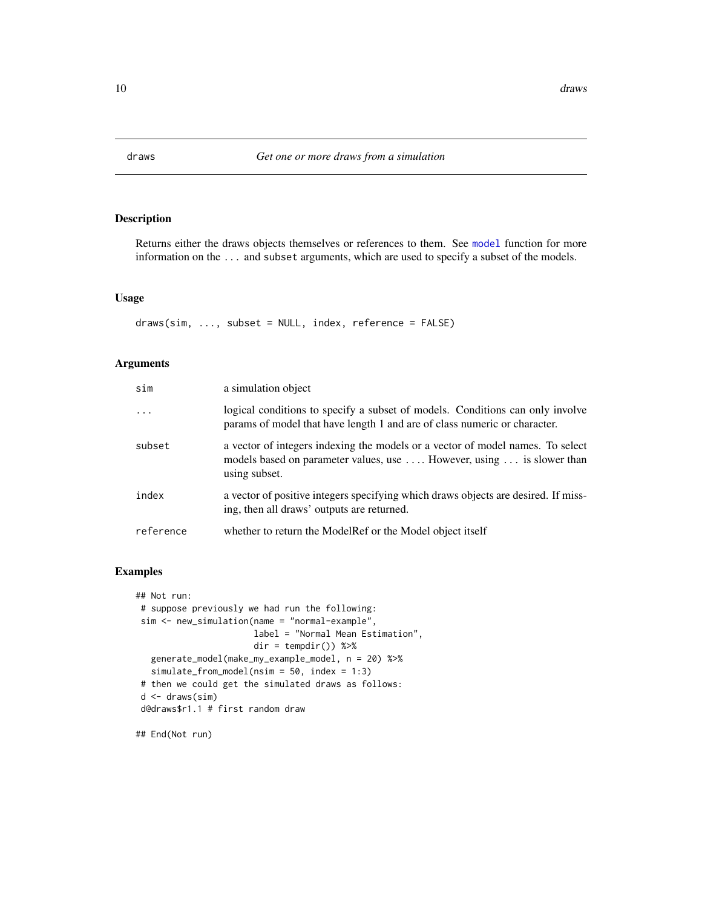<span id="page-9-1"></span><span id="page-9-0"></span>

Returns either the draws objects themselves or references to them. See [model](#page-26-1) function for more information on the ... and subset arguments, which are used to specify a subset of the models.

## Usage

```
draws(sim, ..., subset = NULL, index, reference = FALSE)
```
#### Arguments

| sim       | a simulation object                                                                                                                                                      |
|-----------|--------------------------------------------------------------------------------------------------------------------------------------------------------------------------|
| $\cdots$  | logical conditions to specify a subset of models. Conditions can only involve<br>params of model that have length 1 and are of class numeric or character.               |
| subset    | a vector of integers indexing the models or a vector of model names. To select<br>models based on parameter values, use  However, using  is slower than<br>using subset. |
| index     | a vector of positive integers specifying which draws objects are desired. If miss-<br>ing, then all draws' outputs are returned.                                         |
| reference | whether to return the ModelRef or the Model object itself                                                                                                                |

#### Examples

```
## Not run:
# suppose previously we had run the following:
sim <- new_simulation(name = "normal-example",
                       label = "Normal Mean Estimation",
                       dir = tempdir() %>%
  generate_model(make_my_example_model, n = 20) %>%
  simulate_from_model(nsim = 50, index = 1:3)
# then we could get the simulated draws as follows:
d \leftarrow draws(sim)
d@draws$r1.1 # first random draw
```
## End(Not run)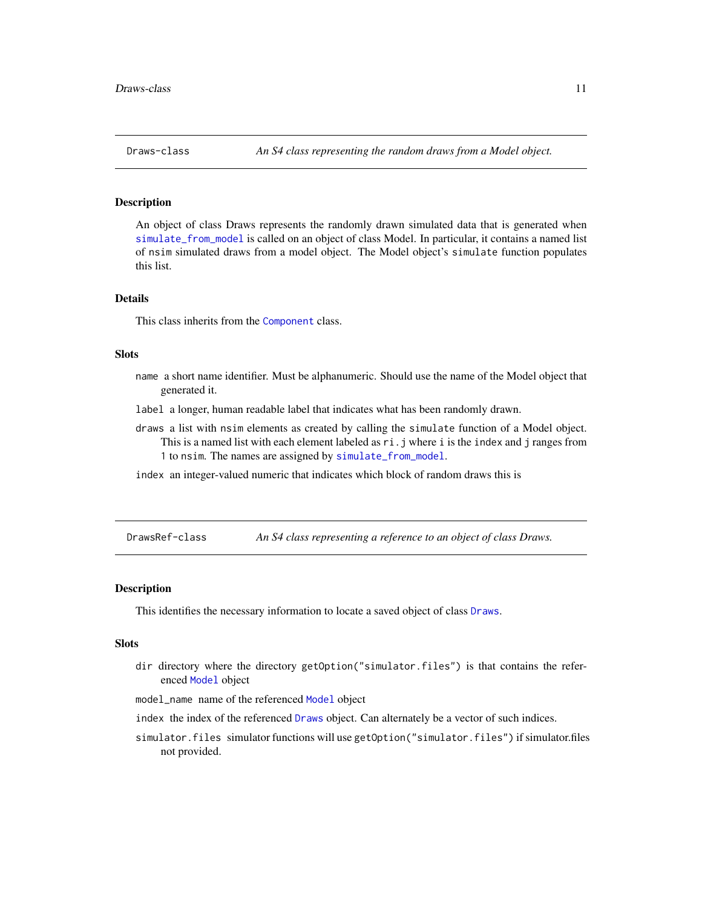<span id="page-10-1"></span><span id="page-10-0"></span>

An object of class Draws represents the randomly drawn simulated data that is generated when [simulate\\_from\\_model](#page-44-1) is called on an object of class Model. In particular, it contains a named list of nsim simulated draws from a model object. The Model object's simulate function populates this list.

## Details

This class inherits from the [Component](#page-7-1) class.

#### Slots

- name a short name identifier. Must be alphanumeric. Should use the name of the Model object that generated it.
- label a longer, human readable label that indicates what has been randomly drawn.
- draws a list with nsim elements as created by calling the simulate function of a Model object. This is a named list with each element labeled as  $ri.$  j where i is the index and j ranges from 1 to nsim. The names are assigned by [simulate\\_from\\_model](#page-44-1).
- index an integer-valued numeric that indicates which block of random draws this is

<span id="page-10-2"></span>DrawsRef-class *An S4 class representing a reference to an object of class Draws.*

#### Description

This identifies the necessary information to locate a saved object of class [Draws](#page-10-1).

#### Slots

dir directory where the directory getOption("simulator.files") is that contains the referenced [Model](#page-27-1) object

model\_name name of the referenced [Model](#page-27-1) object

- index the index of the referenced [Draws](#page-10-1) object. Can alternately be a vector of such indices.
- simulator.files simulator functions will use getOption("simulator.files") if simulator.files not provided.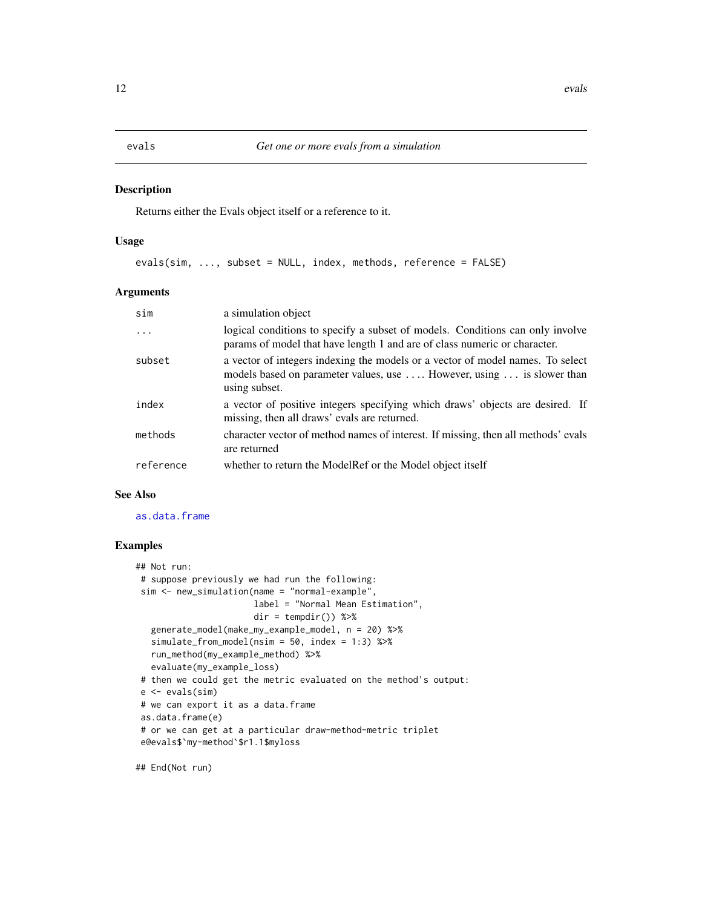<span id="page-11-1"></span><span id="page-11-0"></span>Returns either the Evals object itself or a reference to it.

#### Usage

evals(sim, ..., subset = NULL, index, methods, reference = FALSE)

#### Arguments

| sim       | a simulation object                                                                                                                                                      |
|-----------|--------------------------------------------------------------------------------------------------------------------------------------------------------------------------|
| $\ddots$  | logical conditions to specify a subset of models. Conditions can only involve<br>params of model that have length 1 and are of class numeric or character.               |
| subset    | a vector of integers indexing the models or a vector of model names. To select<br>models based on parameter values, use  However, using  is slower than<br>using subset. |
| index     | a vector of positive integers specifying which draws' objects are desired. If<br>missing, then all draws' evals are returned.                                            |
| methods   | character vector of method names of interest. If missing, then all methods' evals<br>are returned                                                                        |
| reference | whether to return the ModelRef or the Model object itself                                                                                                                |

#### See Also

[as.data.frame](#page-0-0)

## Examples

```
## Not run:
# suppose previously we had run the following:
sim <- new_simulation(name = "normal-example",
                      label = "Normal Mean Estimation",
                      dir = tempdir() %>%
  generate_model(make_my_example_model, n = 20) %>%
  simulate_from_model(nsim = 50, index = 1:3) %>%
  run_method(my_example_method) %>%
  evaluate(my_example_loss)
# then we could get the metric evaluated on the method's output:
e <- evals(sim)
# we can export it as a data.frame
as.data.frame(e)
# or we can get at a particular draw-method-metric triplet
e@evals$`my-method`$r1.1$myloss
```
## End(Not run)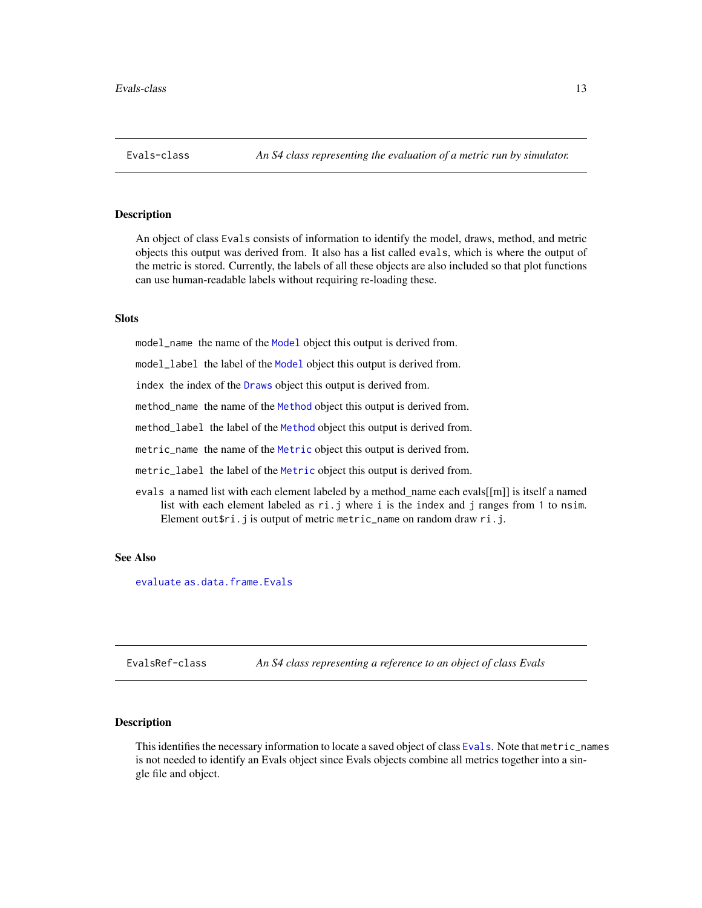<span id="page-12-1"></span><span id="page-12-0"></span>An object of class Evals consists of information to identify the model, draws, method, and metric objects this output was derived from. It also has a list called evals, which is where the output of the metric is stored. Currently, the labels of all these objects are also included so that plot functions can use human-readable labels without requiring re-loading these.

#### **Slots**

model\_name the name of the [Model](#page-27-1) object this output is derived from.

model\_label the label of the [Model](#page-27-1) object this output is derived from.

index the index of the [Draws](#page-10-1) object this output is derived from.

method\_name the name of the [Method](#page-25-1) object this output is derived from.

method\_label the label of the [Method](#page-25-1) object this output is derived from.

metric\_name the name of the [Metric](#page-26-2) object this output is derived from.

metric\_label the label of the [Metric](#page-26-2) object this output is derived from.

evals a named list with each element labeled by a method\_name each evals[[m]] is itself a named list with each element labeled as ri.j where i is the index and j ranges from 1 to nsim. Element out\$ri.j is output of metric metric\_name on random draw ri.j.

#### See Also

[evaluate](#page-13-1) [as.data.frame.Evals](#page-5-1)

<span id="page-12-2"></span>EvalsRef-class *An S4 class representing a reference to an object of class Evals*

#### Description

This identifies the necessary information to locate a saved object of class [Evals](#page-12-1). Note that metric\_names is not needed to identify an Evals object since Evals objects combine all metrics together into a single file and object.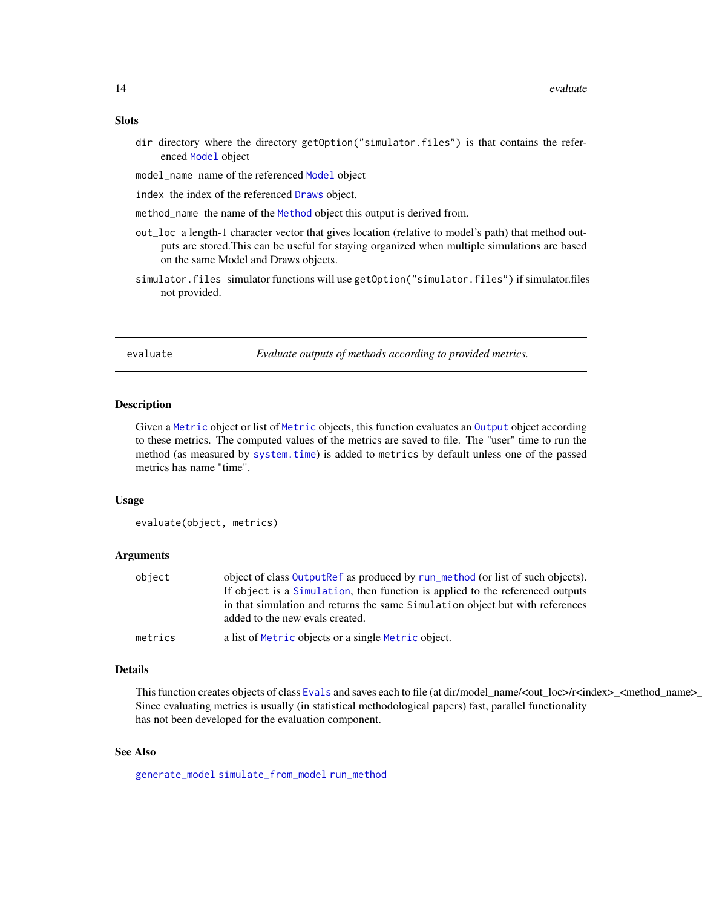## <span id="page-13-0"></span>Slots

- dir directory where the directory getOption("simulator.files") is that contains the referenced [Model](#page-27-1) object
- model\_name name of the referenced [Model](#page-27-1) object
- index the index of the referenced [Draws](#page-10-1) object.
- method\_name the name of the [Method](#page-25-1) object this output is derived from.
- out\_loc a length-1 character vector that gives location (relative to model's path) that method outputs are stored.This can be useful for staying organized when multiple simulations are based on the same Model and Draws objects.
- simulator.files simulator functions will use getOption("simulator.files") if simulator.files not provided.

<span id="page-13-1"></span>evaluate *Evaluate outputs of methods according to provided metrics.*

#### **Description**

Given a [Metric](#page-26-2) object or list of [Metric](#page-26-2) objects, this function evaluates an [Output](#page-35-1) object according to these metrics. The computed values of the metrics are saved to file. The "user" time to run the method (as measured by [system.time](#page-0-0)) is added to metrics by default unless one of the passed metrics has name "time".

#### Usage

evaluate(object, metrics)

### Arguments

| object  | object of class OutputRef as produced by run_method (or list of such objects).                                   |
|---------|------------------------------------------------------------------------------------------------------------------|
|         | If object is a Simulation, then function is applied to the referenced outputs                                    |
|         | in that simulation and returns the same Simulation object but with references<br>added to the new evals created. |
| metrics | a list of Metric objects or a single Metric object.                                                              |

#### Details

This function creates objects of class [Evals](#page-12-1) and saves each to file (at dir/model\_name/<out\_loc>/r<index>\_<method\_name>\_ Since evaluating metrics is usually (in statistical methodological papers) fast, parallel functionality has not been developed for the evaluation component.

#### See Also

[generate\\_model](#page-16-1) [simulate\\_from\\_model](#page-44-1) [run\\_method](#page-42-1)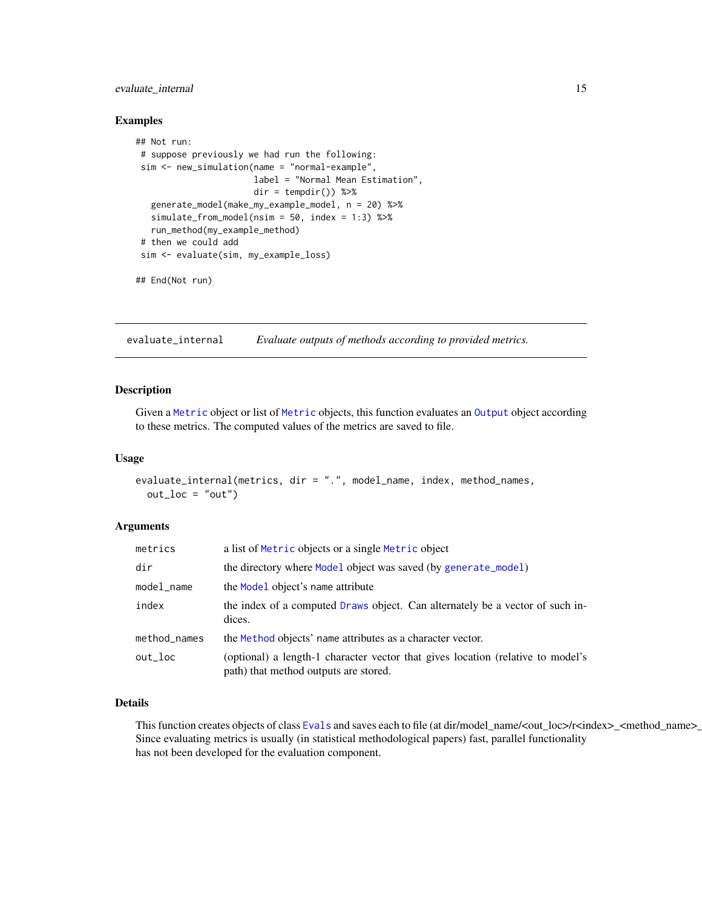## <span id="page-14-0"></span>evaluate\_internal 15

#### Examples

```
## Not run:
# suppose previously we had run the following:
sim <- new_simulation(name = "normal-example",
                       label = "Normal Mean Estimation",
                       dir = tempdir() %>%
   generate_model(make_my_example_model, n = 20) %>%
  simulate_from_model(nsim = 50, index = 1:3) %>%
  run_method(my_example_method)
# then we could add
sim <- evaluate(sim, my_example_loss)
## End(Not run)
```
evaluate\_internal *Evaluate outputs of methods according to provided metrics.*

#### Description

Given a [Metric](#page-26-2) object or list of [Metric](#page-26-2) objects, this function evaluates an [Output](#page-35-1) object according to these metrics. The computed values of the metrics are saved to file.

#### Usage

```
evaluate_internal(metrics, dir = ".", model_name, index, method_names,
  out\_loc = "out")
```
#### Arguments

| metrics      | a list of Metric objects or a single Metric object                                                                       |
|--------------|--------------------------------------------------------------------------------------------------------------------------|
| dir          | the directory where Model object was saved (by generate_model)                                                           |
| model_name   | the Model object's name attribute                                                                                        |
| index        | the index of a computed Draws object. Can alternately be a vector of such in-<br>dices.                                  |
| method_names | the Method objects' name attributes as a character vector.                                                               |
| out_loc      | (optional) a length-1 character vector that gives location (relative to model's<br>path) that method outputs are stored. |

## Details

This function creates objects of class [Evals](#page-12-1) and saves each to file (at dir/model\_name/<out\_loc>/r<index>\_<method\_name>\_ Since evaluating metrics is usually (in statistical methodological papers) fast, parallel functionality has not been developed for the evaluation component.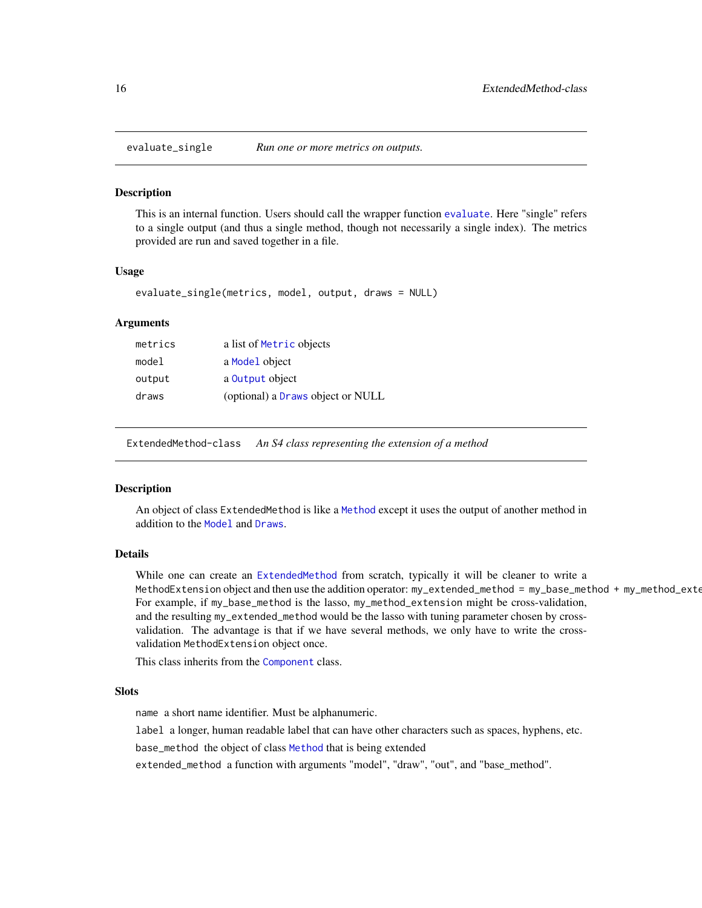<span id="page-15-0"></span>

This is an internal function. Users should call the wrapper function [evaluate](#page-13-1). Here "single" refers to a single output (and thus a single method, though not necessarily a single index). The metrics provided are run and saved together in a file.

#### Usage

```
evaluate_single(metrics, model, output, draws = NULL)
```
#### Arguments

| metrics | a list of Metric objects          |
|---------|-----------------------------------|
| model   | a Model object                    |
| output  | a Output object                   |
| draws   | (optional) a Draws object or NULL |

<span id="page-15-1"></span>ExtendedMethod-class *An S4 class representing the extension of a method*

#### **Description**

An object of class ExtendedMethod is like a [Method](#page-25-1) except it uses the output of another method in addition to the [Model](#page-27-1) and [Draws](#page-10-1).

#### Details

While one can create an [ExtendedMethod](#page-15-1) from scratch, typically it will be cleaner to write a MethodExtension object and then use the addition operator: my\_extended\_method = my\_base\_method + my\_method\_exte For example, if my\_base\_method is the lasso, my\_method\_extension might be cross-validation, and the resulting my\_extended\_method would be the lasso with tuning parameter chosen by crossvalidation. The advantage is that if we have several methods, we only have to write the crossvalidation MethodExtension object once.

This class inherits from the [Component](#page-7-1) class.

#### Slots

name a short name identifier. Must be alphanumeric.

label a longer, human readable label that can have other characters such as spaces, hyphens, etc.

base\_method the object of class [Method](#page-25-1) that is being extended

extended\_method a function with arguments "model", "draw", "out", and "base\_method".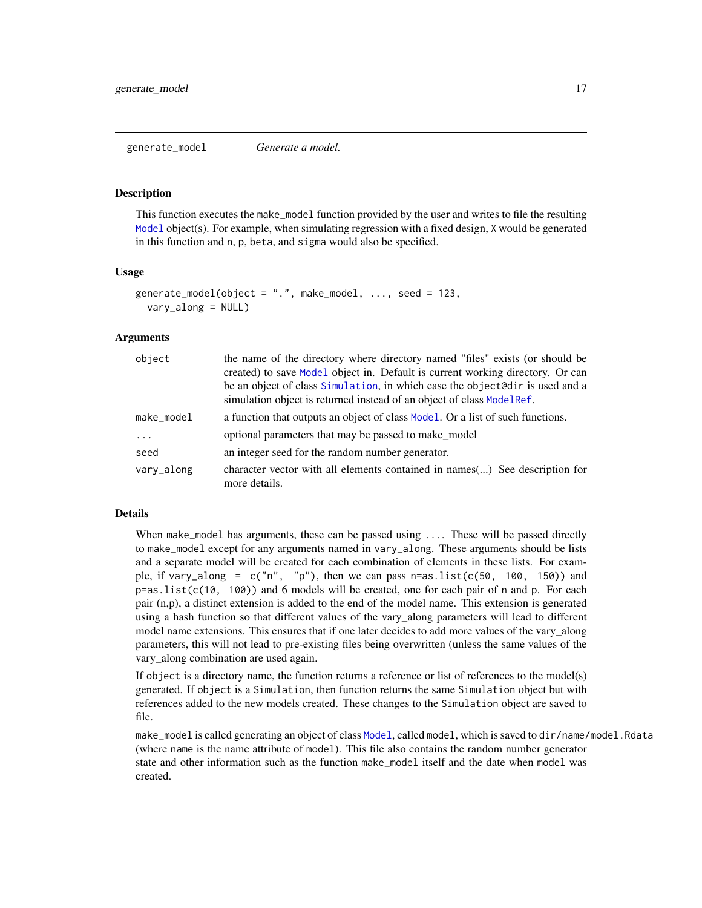<span id="page-16-1"></span><span id="page-16-0"></span>generate\_model *Generate a model.*

#### **Description**

This function executes the make\_model function provided by the user and writes to file the resulting [Model](#page-27-1) object(s). For example, when simulating regression with a fixed design, X would be generated in this function and n, p, beta, and sigma would also be specified.

#### Usage

```
generate_model(object = ".". make_model, ..., seed = 123,
  vary_along = NULL)
```
#### Arguments

| object     | the name of the directory where directory named "files" exists (or should be<br>created) to save Model object in. Default is current working directory. Or can<br>be an object of class Simulation, in which case the object@dir is used and a |
|------------|------------------------------------------------------------------------------------------------------------------------------------------------------------------------------------------------------------------------------------------------|
|            | simulation object is returned instead of an object of class ModelRef.                                                                                                                                                                          |
| make_model | a function that outputs an object of class Model. Or a list of such functions.                                                                                                                                                                 |
| .          | optional parameters that may be passed to make_model                                                                                                                                                                                           |
| seed       | an integer seed for the random number generator.                                                                                                                                                                                               |
| vary_along | character vector with all elements contained in names() See description for<br>more details.                                                                                                                                                   |

## Details

When make\_model has arguments, these can be passed using .... These will be passed directly to make\_model except for any arguments named in vary\_along. These arguments should be lists and a separate model will be created for each combination of elements in these lists. For example, if vary\_along =  $c("n", "p")$ , then we can pass  $n=as.list(c(50, 100, 150))$  and  $p = as. list(c(10, 100))$  and 6 models will be created, one for each pair of n and p. For each pair (n,p), a distinct extension is added to the end of the model name. This extension is generated using a hash function so that different values of the vary\_along parameters will lead to different model name extensions. This ensures that if one later decides to add more values of the vary\_along parameters, this will not lead to pre-existing files being overwritten (unless the same values of the vary\_along combination are used again.

If object is a directory name, the function returns a reference or list of references to the model(s) generated. If object is a Simulation, then function returns the same Simulation object but with references added to the new models created. These changes to the Simulation object are saved to file.

make\_model is called generating an object of class [Model](#page-27-1), called model, which is saved to dir/name/model.Rdata (where name is the name attribute of model). This file also contains the random number generator state and other information such as the function make\_model itself and the date when model was created.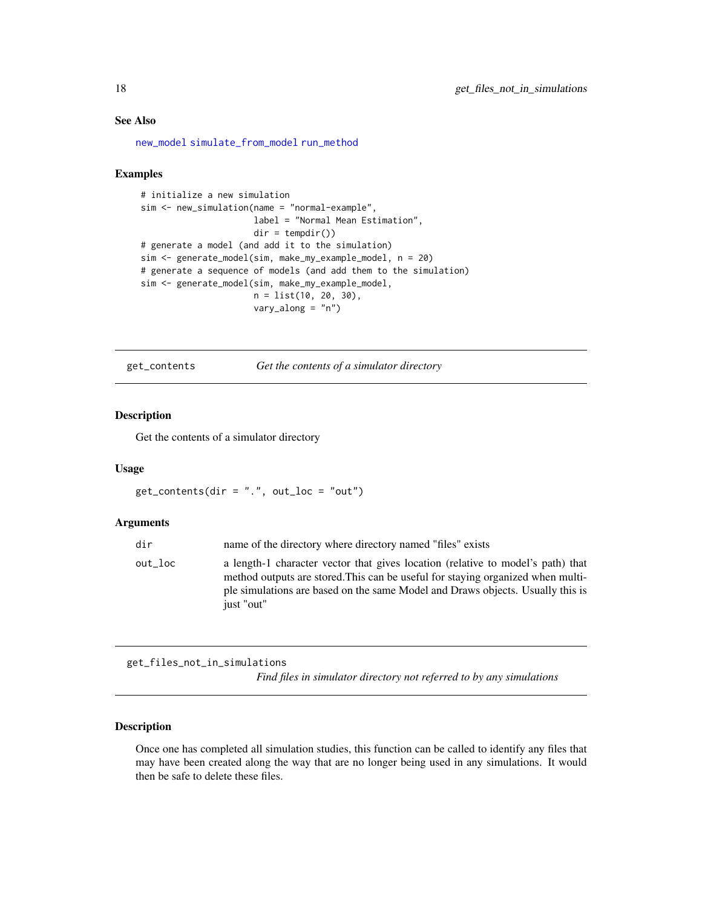## See Also

[new\\_model](#page-32-1) [simulate\\_from\\_model](#page-44-1) [run\\_method](#page-42-1)

#### Examples

```
# initialize a new simulation
sim <- new_simulation(name = "normal-example",
                      label = "Normal Mean Estimation",
                      dir = tempdir())
# generate a model (and add it to the simulation)
sim <- generate_model(sim, make_my_example_model, n = 20)
# generate a sequence of models (and add them to the simulation)
sim <- generate_model(sim, make_my_example_model,
                      n = list(10, 20, 30),
                      vary_along = "n")
```
get\_contents *Get the contents of a simulator directory*

## Description

Get the contents of a simulator directory

#### Usage

 $get_{\text{contents}}(dir = "."", out_{\text{loc}} = "out")$ 

## Arguments

| dir     | name of the directory where directory named "files" exists                                                                                                                                                                                                         |
|---------|--------------------------------------------------------------------------------------------------------------------------------------------------------------------------------------------------------------------------------------------------------------------|
| out loc | a length-1 character vector that gives location (relative to model's path) that<br>method outputs are stored. This can be useful for staying organized when multi-<br>ple simulations are based on the same Model and Draws objects. Usually this is<br>just "out" |

get\_files\_not\_in\_simulations

*Find files in simulator directory not referred to by any simulations*

### Description

Once one has completed all simulation studies, this function can be called to identify any files that may have been created along the way that are no longer being used in any simulations. It would then be safe to delete these files.

<span id="page-17-0"></span>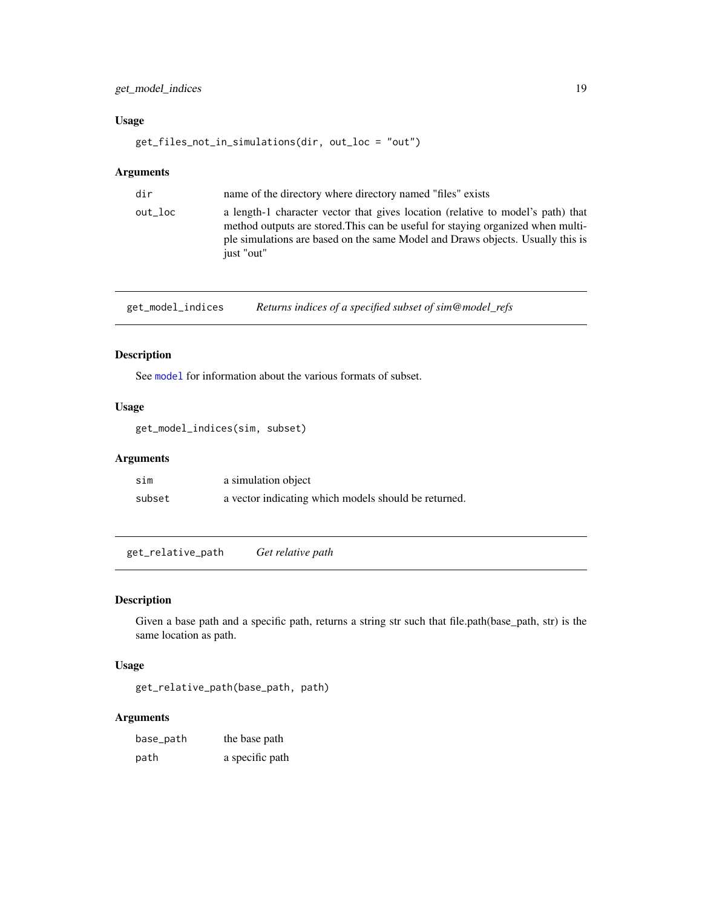## <span id="page-18-0"></span>get\_model\_indices 19

## Usage

get\_files\_not\_in\_simulations(dir, out\_loc = "out")

## Arguments

| dir     | name of the directory where directory named "files" exists                                                                                                                                                                                                         |
|---------|--------------------------------------------------------------------------------------------------------------------------------------------------------------------------------------------------------------------------------------------------------------------|
| out_loc | a length-1 character vector that gives location (relative to model's path) that<br>method outputs are stored. This can be useful for staying organized when multi-<br>ple simulations are based on the same Model and Draws objects. Usually this is<br>just "out" |
|         |                                                                                                                                                                                                                                                                    |

get\_model\_indices *Returns indices of a specified subset of sim@model\_refs*

## Description

See [model](#page-26-1) for information about the various formats of subset.

## Usage

```
get_model_indices(sim, subset)
```
## Arguments

| sim    | a simulation object                                  |
|--------|------------------------------------------------------|
| subset | a vector indicating which models should be returned. |

get\_relative\_path *Get relative path*

#### Description

Given a base path and a specific path, returns a string str such that file.path(base\_path, str) is the same location as path.

#### Usage

```
get_relative_path(base_path, path)
```

| base_path | the base path   |
|-----------|-----------------|
| path      | a specific path |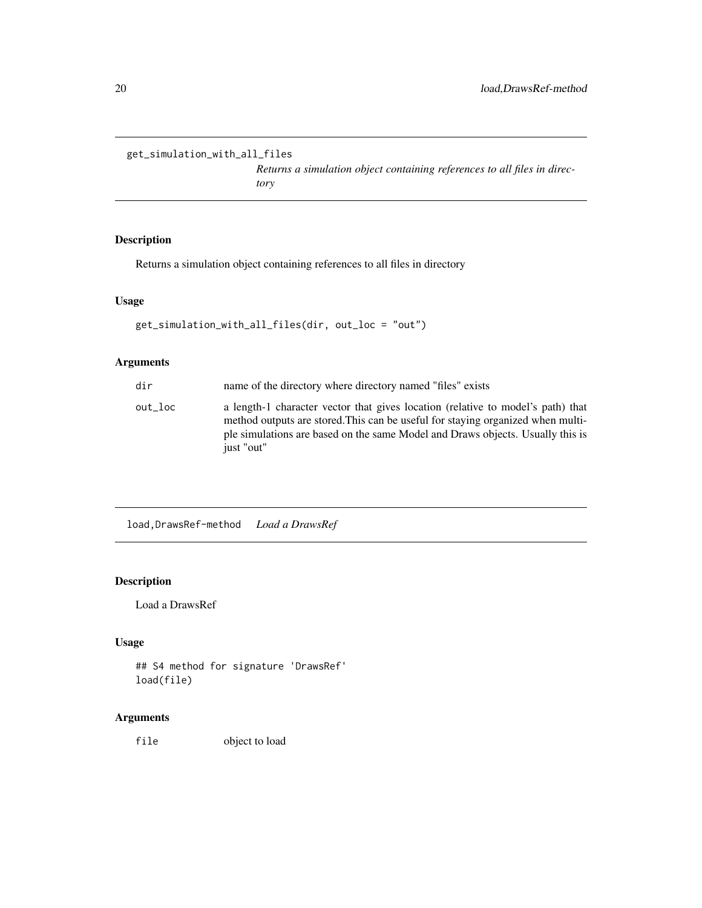```
get_simulation_with_all_files
```
*Returns a simulation object containing references to all files in directory*

## Description

Returns a simulation object containing references to all files in directory

### Usage

```
get_simulation_with_all_files(dir, out_loc = "out")
```
## Arguments

| dir     | name of the directory where directory named "files" exists                                                                                                                                                                                                         |
|---------|--------------------------------------------------------------------------------------------------------------------------------------------------------------------------------------------------------------------------------------------------------------------|
| out loc | a length-1 character vector that gives location (relative to model's path) that<br>method outputs are stored. This can be useful for staying organized when multi-<br>ple simulations are based on the same Model and Draws objects. Usually this is<br>just "out" |

load,DrawsRef-method *Load a DrawsRef*

## Description

Load a DrawsRef

## Usage

```
## S4 method for signature 'DrawsRef'
load(file)
```
## Arguments

file object to load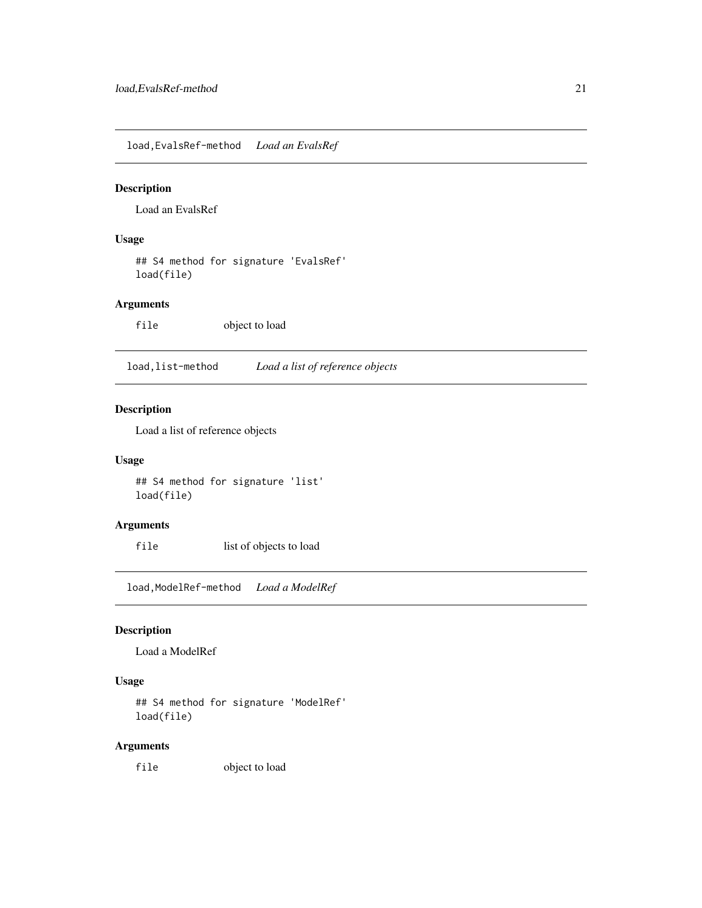<span id="page-20-0"></span>load,EvalsRef-method *Load an EvalsRef*

## Description

Load an EvalsRef

## Usage

## S4 method for signature 'EvalsRef' load(file)

## Arguments

file object to load

load,list-method *Load a list of reference objects*

## Description

Load a list of reference objects

## Usage

## S4 method for signature 'list' load(file)

#### Arguments

file list of objects to load

load,ModelRef-method *Load a ModelRef*

## Description

Load a ModelRef

## Usage

## S4 method for signature 'ModelRef' load(file)

## Arguments

file object to load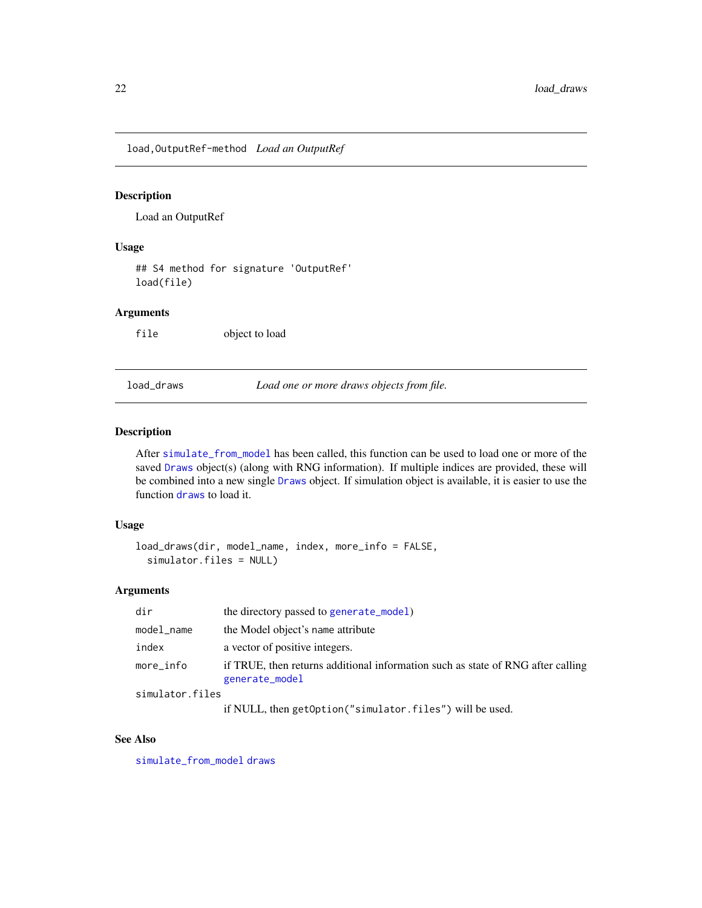<span id="page-21-0"></span>load,OutputRef-method *Load an OutputRef*

## Description

Load an OutputRef

#### Usage

## S4 method for signature 'OutputRef' load(file)

## Arguments

file object to load

<span id="page-21-1"></span>load\_draws *Load one or more draws objects from file.*

#### Description

After [simulate\\_from\\_model](#page-44-1) has been called, this function can be used to load one or more of the saved [Draws](#page-10-1) object(s) (along with RNG information). If multiple indices are provided, these will be combined into a new single [Draws](#page-10-1) object. If simulation object is available, it is easier to use the function [draws](#page-9-1) to load it.

## Usage

```
load_draws(dir, model_name, index, more_info = FALSE,
  simulator.files = NULL)
```
#### Arguments

| dir             | the directory passed to generate_model)                                                           |
|-----------------|---------------------------------------------------------------------------------------------------|
| model_name      | the Model object's name attribute                                                                 |
| index           | a vector of positive integers.                                                                    |
| more_info       | if TRUE, then returns additional information such as state of RNG after calling<br>generate_model |
| simulator.files |                                                                                                   |

if NULL, then getOption("simulator.files") will be used.

## See Also

[simulate\\_from\\_model](#page-44-1) [draws](#page-9-1)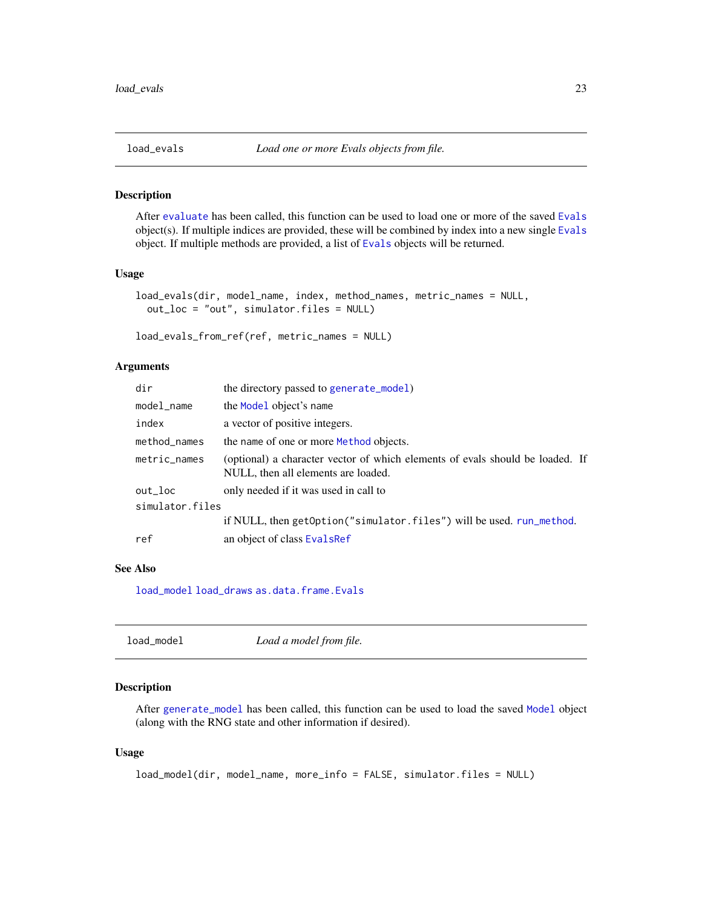<span id="page-22-0"></span>

After [evaluate](#page-13-1) has been called, this function can be used to load one or more of the saved [Evals](#page-12-1) object(s). If multiple indices are provided, these will be combined by index into a new single [Evals](#page-12-1) object. If multiple methods are provided, a list of [Evals](#page-12-1) objects will be returned.

#### Usage

```
load_evals(dir, model_name, index, method_names, metric_names = NULL,
 out_loc = "out", simulator.files = NULL)
```

```
load_evals_from_ref(ref, metric_names = NULL)
```
## Arguments

| dir             | the directory passed to generate_model)                                                                              |
|-----------------|----------------------------------------------------------------------------------------------------------------------|
| model_name      | the Model object's name                                                                                              |
| index           | a vector of positive integers.                                                                                       |
| method_names    | the name of one or more Method objects.                                                                              |
| metric_names    | (optional) a character vector of which elements of evals should be loaded. If<br>NULL, then all elements are loaded. |
| out_loc         | only needed if it was used in call to                                                                                |
| simulator.files |                                                                                                                      |
|                 | if NULL, then getOption ("simulator.files") will be used. run_method.                                                |
| ref             | an object of class EvalsRef                                                                                          |

#### See Also

[load\\_model](#page-22-1) [load\\_draws](#page-21-1) [as.data.frame.Evals](#page-5-1)

<span id="page-22-1"></span>

| load_model | Load a model from file. |  |
|------------|-------------------------|--|
|------------|-------------------------|--|

## Description

After [generate\\_model](#page-16-1) has been called, this function can be used to load the saved [Model](#page-27-1) object (along with the RNG state and other information if desired).

#### Usage

```
load_model(dir, model_name, more_info = FALSE, simulator.files = NULL)
```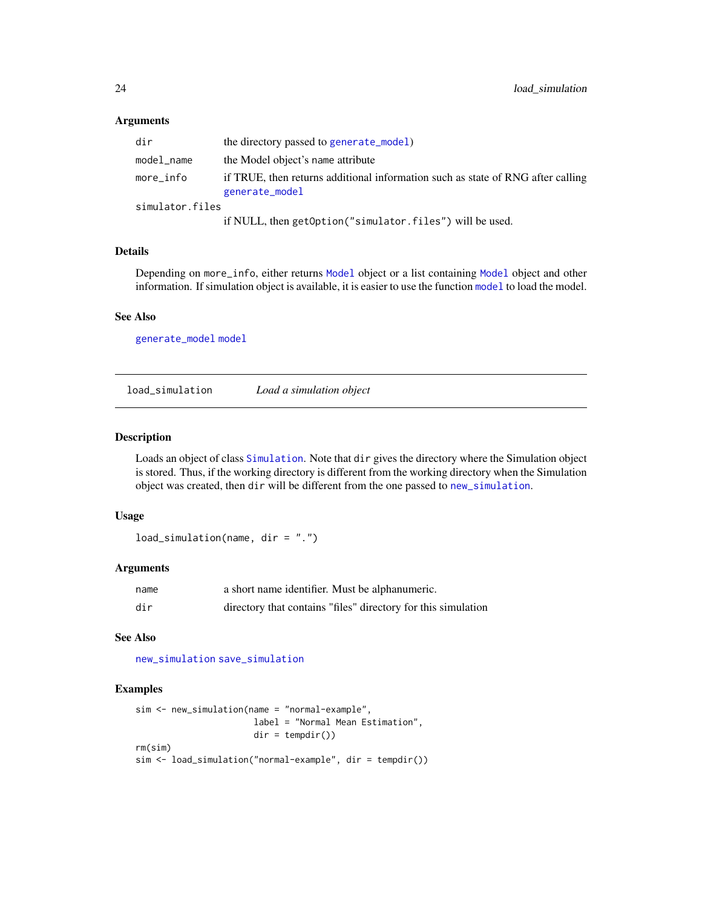#### <span id="page-23-0"></span>Arguments

| dir             | the directory passed to generate_model)                                                           |
|-----------------|---------------------------------------------------------------------------------------------------|
| model_name      | the Model object's name attribute                                                                 |
| more_info       | if TRUE, then returns additional information such as state of RNG after calling<br>generate_model |
| simulator.files |                                                                                                   |
|                 | if NULL, then getOption("simulator.files") will be used.                                          |

#### Details

Depending on more\_info, either returns [Model](#page-27-1) object or a list containing [Model](#page-27-1) object and other information. If simulation object is available, it is easier to use the function [model](#page-26-1) to load the model.

#### See Also

[generate\\_model](#page-16-1) [model](#page-26-1)

<span id="page-23-1"></span>load\_simulation *Load a simulation object*

## Description

Loads an object of class [Simulation](#page-46-1). Note that dir gives the directory where the Simulation object is stored. Thus, if the working directory is different from the working directory when the Simulation object was created, then dir will be different from the one passed to [new\\_simulation](#page-33-1).

## Usage

load\_simulation(name, dir = ".")

#### Arguments

| name | a short name identifier. Must be alphanumeric.                |
|------|---------------------------------------------------------------|
| dir  | directory that contains "files" directory for this simulation |

## See Also

[new\\_simulation](#page-33-1) [save\\_simulation](#page-43-1)

#### Examples

```
sim <- new_simulation(name = "normal-example",
                      label = "Normal Mean Estimation",
                      dir = tempdir()rm(sim)
sim <- load_simulation("normal-example", dir = tempdir())
```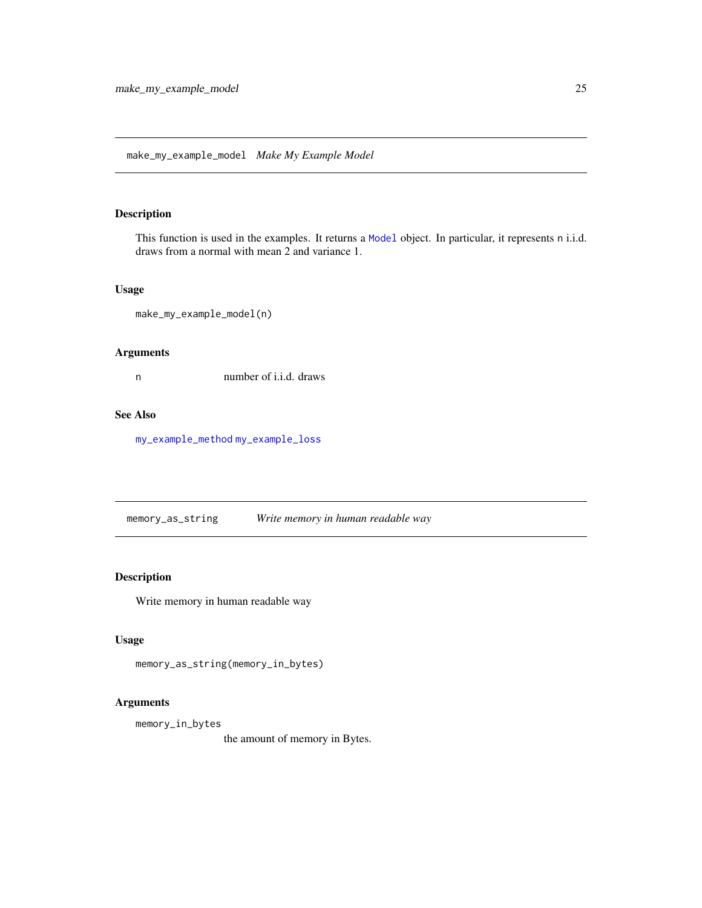<span id="page-24-1"></span><span id="page-24-0"></span>make\_my\_example\_model *Make My Example Model*

## Description

This function is used in the examples. It returns a [Model](#page-27-1) object. In particular, it represents n i.i.d. draws from a normal with mean 2 and variance 1.

## Usage

```
make_my_example_model(n)
```
## Arguments

n number of i.i.d. draws

## See Also

[my\\_example\\_method](#page-29-1) [my\\_example\\_loss](#page-29-2)

memory\_as\_string *Write memory in human readable way*

## Description

Write memory in human readable way

## Usage

```
memory_as_string(memory_in_bytes)
```
## Arguments

memory\_in\_bytes

the amount of memory in Bytes.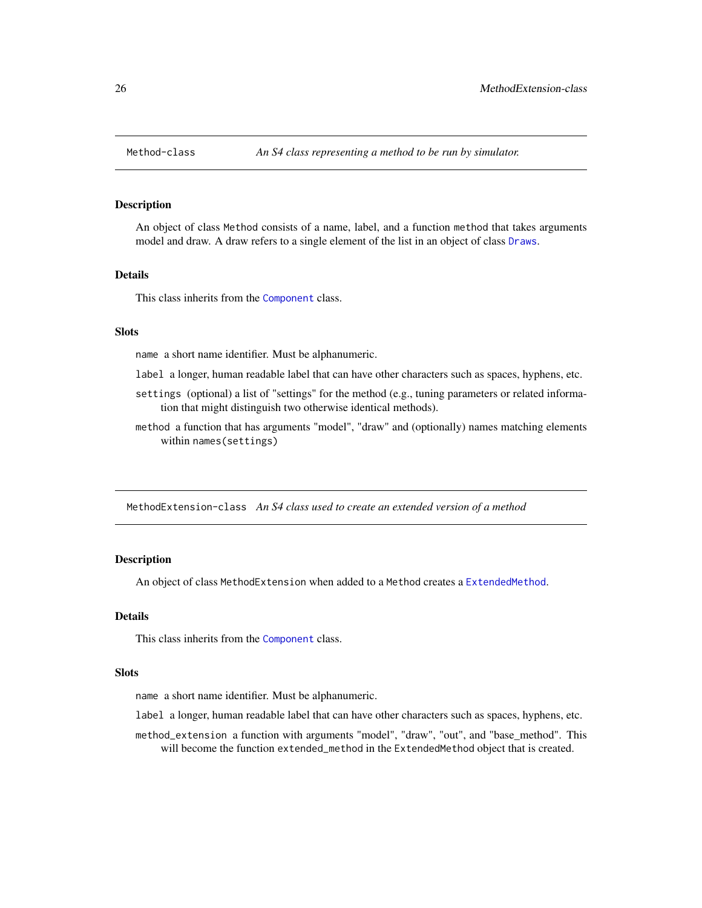<span id="page-25-1"></span><span id="page-25-0"></span>

An object of class Method consists of a name, label, and a function method that takes arguments model and draw. A draw refers to a single element of the list in an object of class [Draws](#page-10-1).

#### Details

This class inherits from the [Component](#page-7-1) class.

#### **Slots**

name a short name identifier. Must be alphanumeric.

- label a longer, human readable label that can have other characters such as spaces, hyphens, etc.
- settings (optional) a list of "settings" for the method (e.g., tuning parameters or related information that might distinguish two otherwise identical methods).
- method a function that has arguments "model", "draw" and (optionally) names matching elements within names(settings)

<span id="page-25-2"></span>MethodExtension-class *An S4 class used to create an extended version of a method*

#### **Description**

An object of class MethodExtension when added to a Method creates a [ExtendedMethod](#page-15-1).

#### Details

This class inherits from the [Component](#page-7-1) class.

#### **Slots**

name a short name identifier. Must be alphanumeric.

- label a longer, human readable label that can have other characters such as spaces, hyphens, etc.
- method\_extension a function with arguments "model", "draw", "out", and "base\_method". This will become the function extended\_method in the ExtendedMethod object that is created.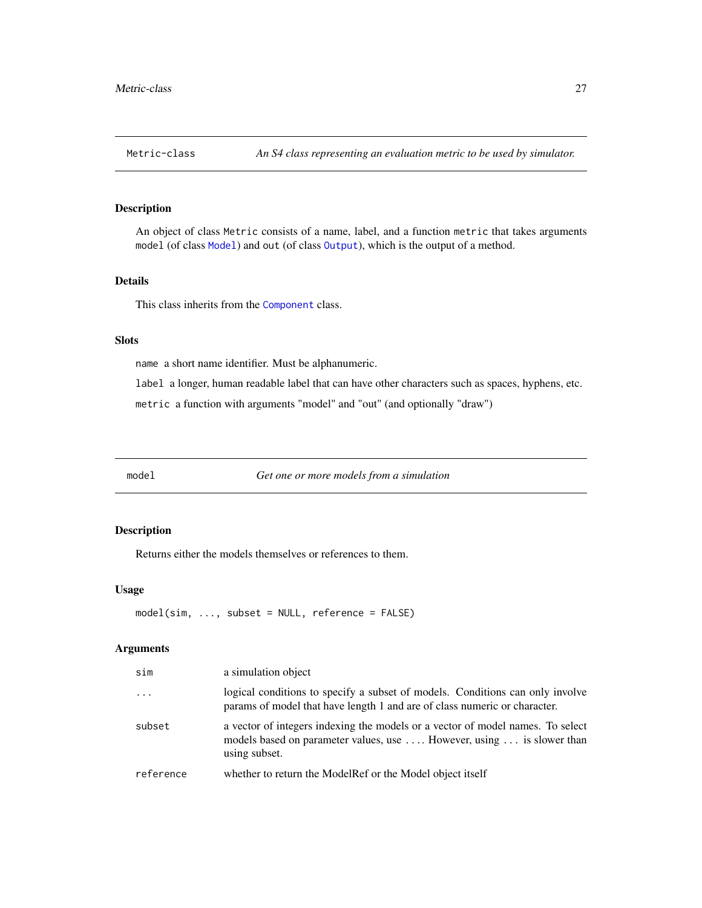<span id="page-26-2"></span><span id="page-26-0"></span>

An object of class Metric consists of a name, label, and a function metric that takes arguments model (of class [Model](#page-27-1)) and out (of class [Output](#page-35-1)), which is the output of a method.

## Details

This class inherits from the [Component](#page-7-1) class.

#### Slots

name a short name identifier. Must be alphanumeric.

label a longer, human readable label that can have other characters such as spaces, hyphens, etc. metric a function with arguments "model" and "out" (and optionally "draw")

<span id="page-26-1"></span>model *Get one or more models from a simulation*

## Description

Returns either the models themselves or references to them.

#### Usage

```
model(sim, ..., subset = NULL, reference = FALSE)
```

| sim       | a simulation object                                                                                                                                                      |
|-----------|--------------------------------------------------------------------------------------------------------------------------------------------------------------------------|
| $\ddotsc$ | logical conditions to specify a subset of models. Conditions can only involve<br>params of model that have length 1 and are of class numeric or character.               |
| subset    | a vector of integers indexing the models or a vector of model names. To select<br>models based on parameter values, use  However, using  is slower than<br>using subset. |
| reference | whether to return the ModelRef or the Model object itself                                                                                                                |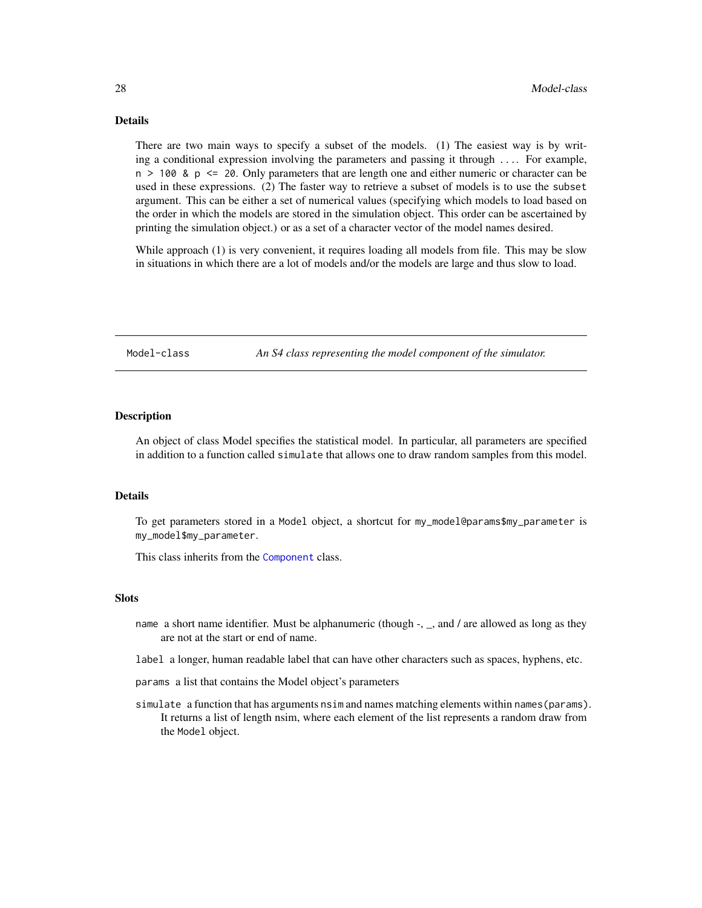## <span id="page-27-0"></span>Details

There are two main ways to specify a subset of the models. (1) The easiest way is by writing a conditional expression involving the parameters and passing it through .... For example,  $n > 100$  &  $p \le 20$ . Only parameters that are length one and either numeric or character can be used in these expressions. (2) The faster way to retrieve a subset of models is to use the subset argument. This can be either a set of numerical values (specifying which models to load based on the order in which the models are stored in the simulation object. This order can be ascertained by printing the simulation object.) or as a set of a character vector of the model names desired.

While approach (1) is very convenient, it requires loading all models from file. This may be slow in situations in which there are a lot of models and/or the models are large and thus slow to load.

<span id="page-27-1"></span>Model-class *An S4 class representing the model component of the simulator.*

## Description

An object of class Model specifies the statistical model. In particular, all parameters are specified in addition to a function called simulate that allows one to draw random samples from this model.

#### Details

To get parameters stored in a Model object, a shortcut for my\_model@params\$my\_parameter is my\_model\$my\_parameter.

This class inherits from the [Component](#page-7-1) class.

#### **Slots**

- name a short name identifier. Must be alphanumeric (though -, \_, and / are allowed as long as they are not at the start or end of name.
- label a longer, human readable label that can have other characters such as spaces, hyphens, etc.
- params a list that contains the Model object's parameters
- simulate a function that has arguments nsim and names matching elements within names(params). It returns a list of length nsim, where each element of the list represents a random draw from the Model object.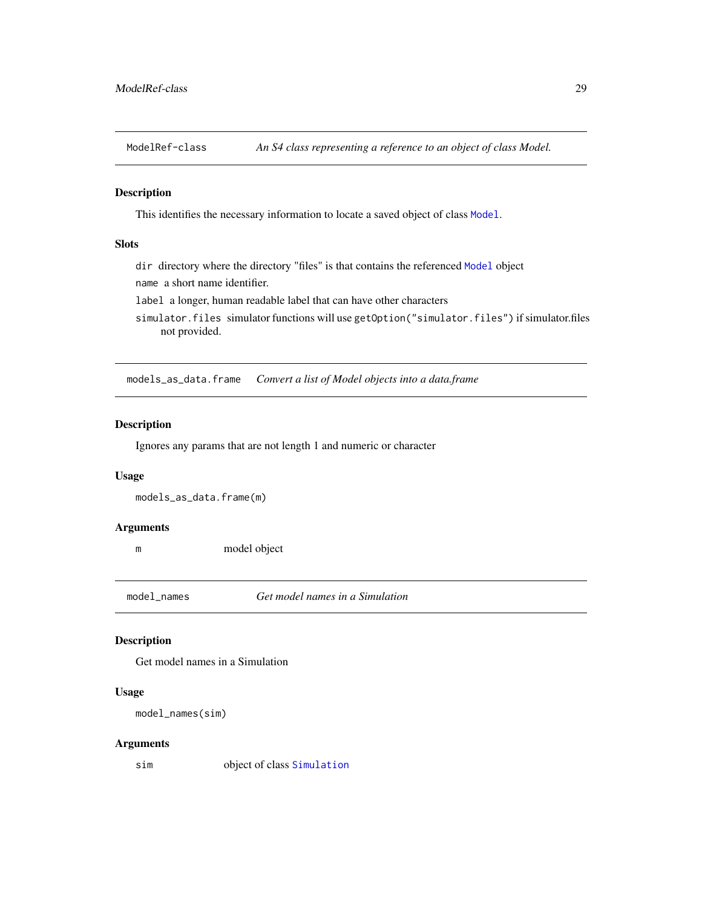<span id="page-28-1"></span><span id="page-28-0"></span>

This identifies the necessary information to locate a saved object of class [Model](#page-27-1).

## Slots

dir directory where the directory "files" is that contains the referenced [Model](#page-27-1) object

name a short name identifier.

label a longer, human readable label that can have other characters

simulator.files simulator functions will use getOption("simulator.files") if simulator.files not provided.

models\_as\_data.frame *Convert a list of Model objects into a data.frame*

## Description

Ignores any params that are not length 1 and numeric or character

#### Usage

models\_as\_data.frame(m)

#### Arguments

m model object

model\_names *Get model names in a Simulation*

#### Description

Get model names in a Simulation

#### Usage

```
model_names(sim)
```
## Arguments

sim object of class [Simulation](#page-46-1)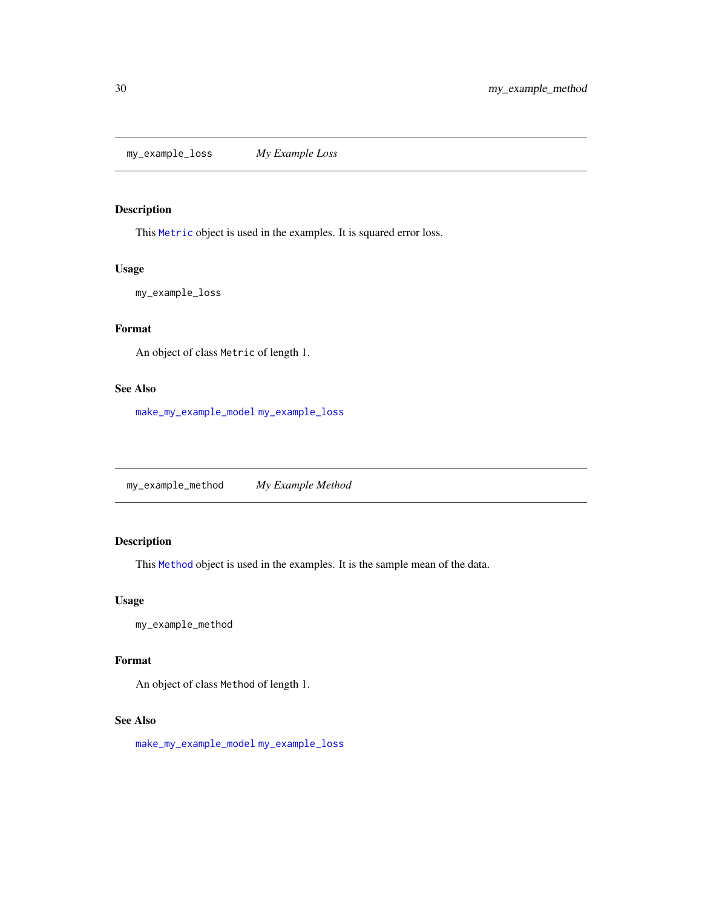<span id="page-29-2"></span><span id="page-29-0"></span>my\_example\_loss *My Example Loss*

## Description

This [Metric](#page-26-2) object is used in the examples. It is squared error loss.

#### Usage

my\_example\_loss

## Format

An object of class Metric of length 1.

## See Also

[make\\_my\\_example\\_model](#page-24-1) [my\\_example\\_loss](#page-29-2)

<span id="page-29-1"></span>my\_example\_method *My Example Method*

## Description

This [Method](#page-25-1) object is used in the examples. It is the sample mean of the data.

## Usage

my\_example\_method

#### Format

An object of class Method of length 1.

#### See Also

[make\\_my\\_example\\_model](#page-24-1) [my\\_example\\_loss](#page-29-2)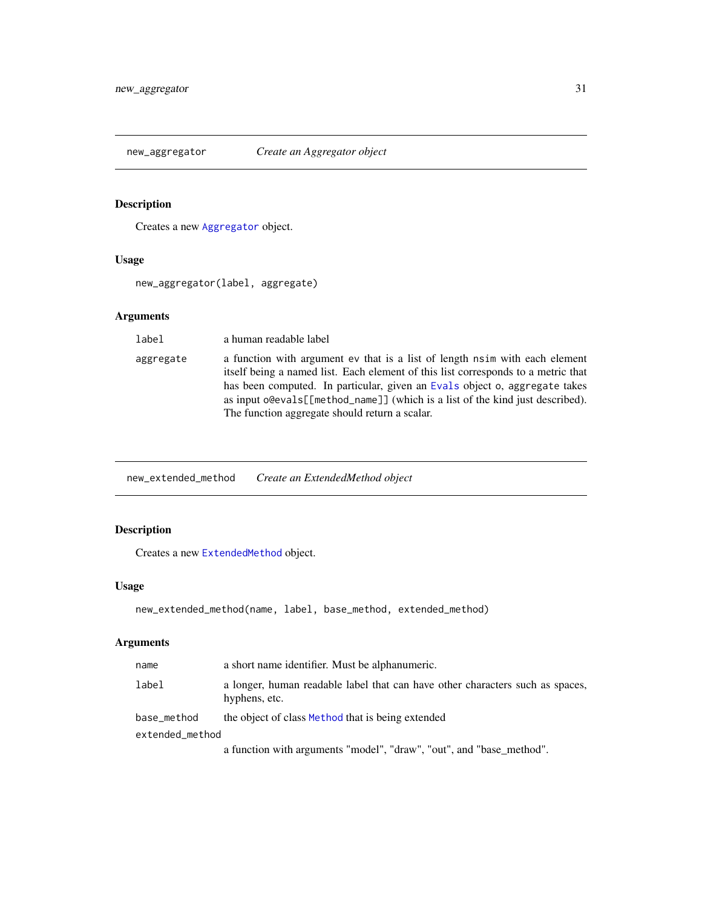<span id="page-30-0"></span>

Creates a new [Aggregator](#page-5-2) object.

#### Usage

new\_aggregator(label, aggregate)

## Arguments

label a human readable label aggregate a function with argument ev that is a list of length nsim with each element itself being a named list. Each element of this list corresponds to a metric that has been computed. In particular, given an [Evals](#page-12-1) object o, aggregate takes as input o@evals[[method\_name]] (which is a list of the kind just described). The function aggregate should return a scalar.

new\_extended\_method *Create an ExtendedMethod object*

## Description

Creates a new [ExtendedMethod](#page-15-1) object.

## Usage

```
new_extended_method(name, label, base_method, extended_method)
```

| name            | a short name identifier. Must be alphanumeric.                                                 |
|-----------------|------------------------------------------------------------------------------------------------|
| label           | a longer, human readable label that can have other characters such as spaces,<br>hyphens, etc. |
| base_method     | the object of class Method that is being extended                                              |
| extended_method |                                                                                                |
|                 | a function with arguments "model", "draw", "out", and "base method".                           |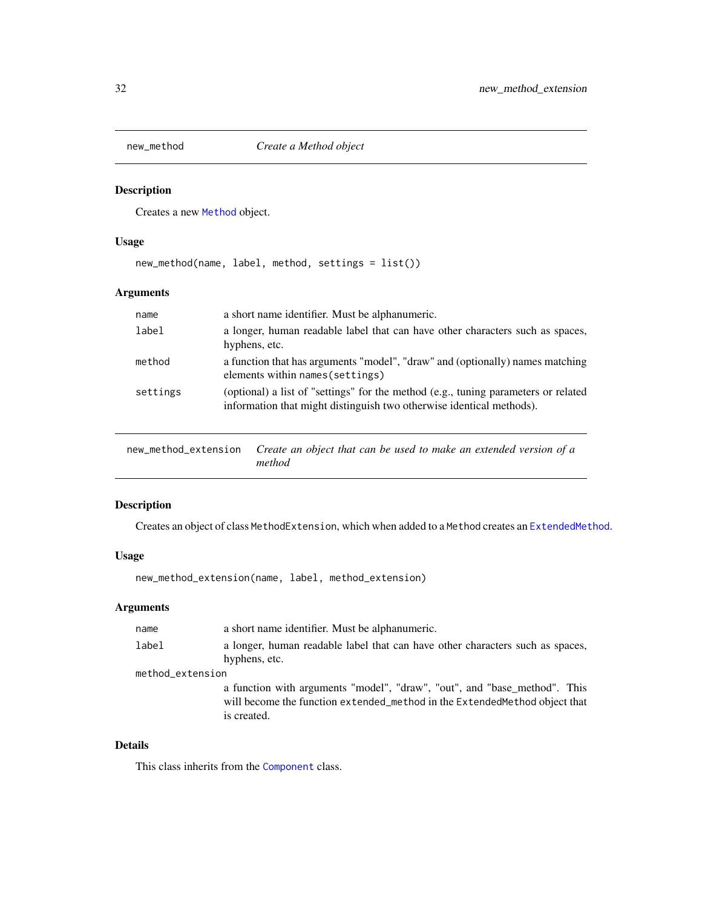<span id="page-31-0"></span>

Creates a new [Method](#page-25-1) object.

## Usage

new\_method(name, label, method, settings = list())

## Arguments

| name     | a short name identifier. Must be alphanumeric.                                                                                                             |
|----------|------------------------------------------------------------------------------------------------------------------------------------------------------------|
| label    | a longer, human readable label that can have other characters such as spaces,<br>hyphens, etc.                                                             |
| method   | a function that has arguments "model", "draw" and (optionally) names matching<br>elements within names (settings)                                          |
| settings | (optional) a list of "settings" for the method (e.g., tuning parameters or related<br>information that might distinguish two otherwise identical methods). |

new\_method\_extension *Create an object that can be used to make an extended version of a method*

## Description

Creates an object of class MethodExtension, which when added to a Method creates an [ExtendedMethod](#page-15-1).

## Usage

```
new_method_extension(name, label, method_extension)
```
#### Arguments

| name             | a short name identifier. Must be alphanumeric.                                                                                                                          |
|------------------|-------------------------------------------------------------------------------------------------------------------------------------------------------------------------|
| label            | a longer, human readable label that can have other characters such as spaces,<br>hyphens, etc.                                                                          |
| method_extension |                                                                                                                                                                         |
|                  | a function with arguments "model", "draw", "out", and "base_method". This<br>will become the function extended_method in the Extended Method object that<br>is created. |

## Details

This class inherits from the [Component](#page-7-1) class.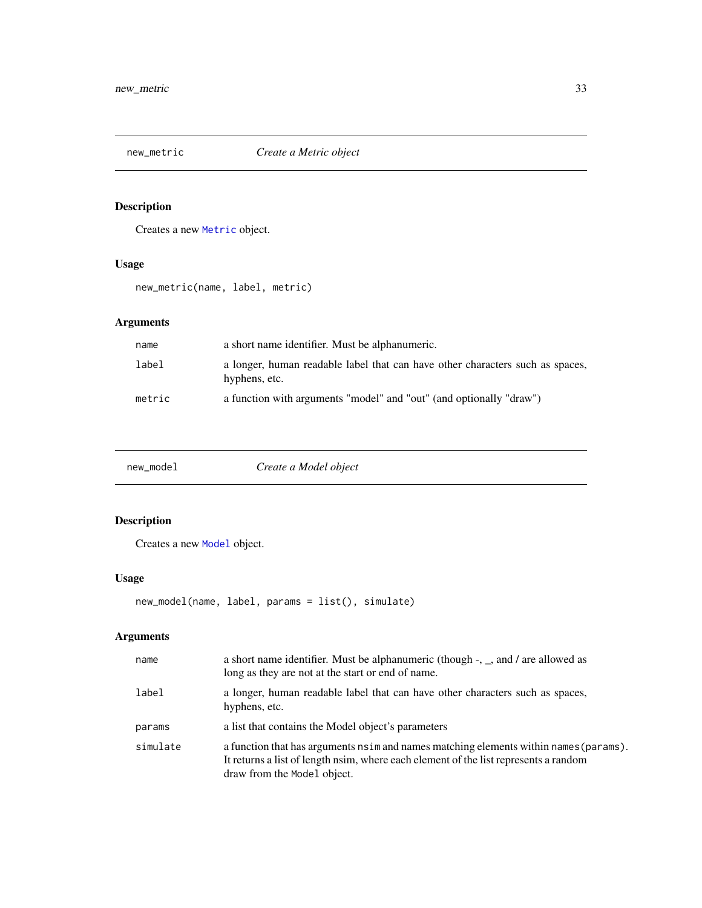<span id="page-32-0"></span>

Creates a new [Metric](#page-26-2) object.

## Usage

new\_metric(name, label, metric)

## Arguments

| name   | a short name identifier. Must be alphanumeric.                                                 |
|--------|------------------------------------------------------------------------------------------------|
| label  | a longer, human readable label that can have other characters such as spaces,<br>hyphens, etc. |
| metric | a function with arguments "model" and "out" (and optionally "draw")                            |

<span id="page-32-1"></span>

| Create a Model object<br>new_model |  |
|------------------------------------|--|
|------------------------------------|--|

## Description

Creates a new [Model](#page-27-1) object.

## Usage

```
new_model(name, label, params = list(), simulate)
```

| name     | a short name identifier. Must be alphanumeric (though $-$ , $\alpha$ , and / are allowed as<br>long as they are not at the start or end of name.                                                                 |
|----------|------------------------------------------------------------------------------------------------------------------------------------------------------------------------------------------------------------------|
| label    | a longer, human readable label that can have other characters such as spaces,<br>hyphens, etc.                                                                                                                   |
| params   | a list that contains the Model object's parameters                                                                                                                                                               |
| simulate | a function that has arguments $n \sin$ and names matching elements within names (params).<br>It returns a list of length nsim, where each element of the list represents a random<br>draw from the Model object. |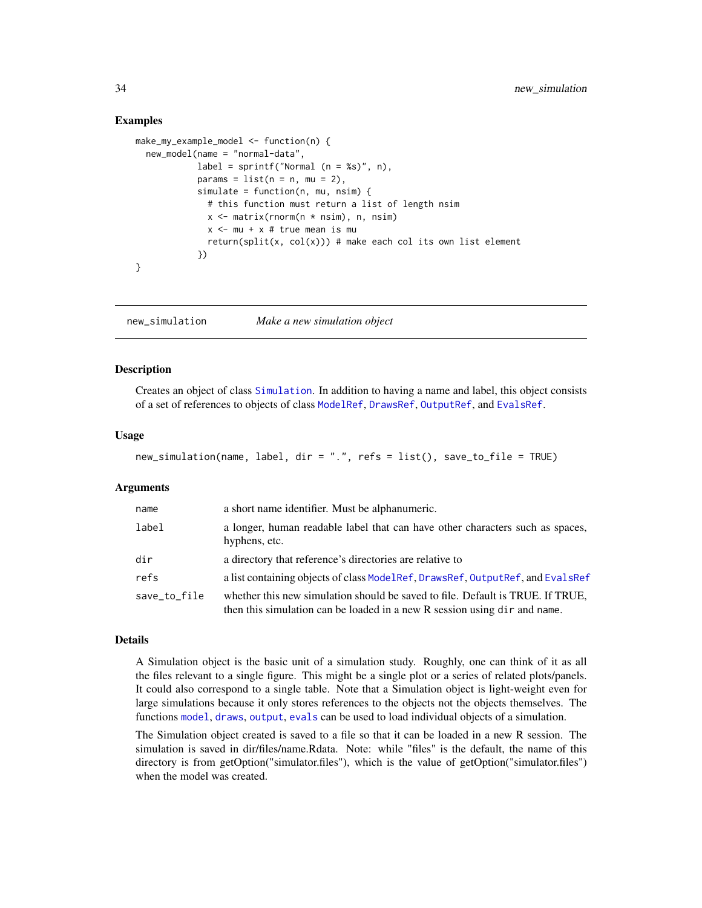#### Examples

```
make_my_example_model <- function(n) {
 new_model(name = "normal-data",
            label = spring = sprintf("Normal (n = %s)", n),
            params = list(n = n, mu = 2),
            simulate = function(n, mu, nsim) {
              # this function must return a list of length nsim
              x \le matrix(rnorm(n * nsim), n, nsim)
              x <- mu + x # true mean is mu
              return(split(x, col(x))) # make each col its own list element
            })
}
```
<span id="page-33-1"></span>new\_simulation *Make a new simulation object*

#### Description

Creates an object of class [Simulation](#page-46-1). In addition to having a name and label, this object consists of a set of references to objects of class [ModelRef](#page-28-1), [DrawsRef](#page-10-2), [OutputRef](#page-35-2), and [EvalsRef](#page-12-2).

#### Usage

```
new_simulation(name, label, dir = ".", refs = list(), save_to_file = TRUE)
```
#### Arguments

| name         | a short name identifier. Must be alphanumeric.                                                                                                              |
|--------------|-------------------------------------------------------------------------------------------------------------------------------------------------------------|
| label        | a longer, human readable label that can have other characters such as spaces,<br>hyphens, etc.                                                              |
| dir          | a directory that reference's directories are relative to                                                                                                    |
| refs         | a list containing objects of class ModelRef, DrawsRef, OutputRef, and EvalsRef                                                                              |
| save_to_file | whether this new simulation should be saved to file. Default is TRUE. If TRUE,<br>then this simulation can be loaded in a new R session using dir and name. |

#### Details

A Simulation object is the basic unit of a simulation study. Roughly, one can think of it as all the files relevant to a single figure. This might be a single plot or a series of related plots/panels. It could also correspond to a single table. Note that a Simulation object is light-weight even for large simulations because it only stores references to the objects not the objects themselves. The functions [model](#page-26-1), [draws](#page-9-1), [output](#page-34-1), [evals](#page-11-1) can be used to load individual objects of a simulation.

The Simulation object created is saved to a file so that it can be loaded in a new R session. The simulation is saved in dir/files/name.Rdata. Note: while "files" is the default, the name of this directory is from getOption("simulator.files"), which is the value of getOption("simulator.files") when the model was created.

<span id="page-33-0"></span>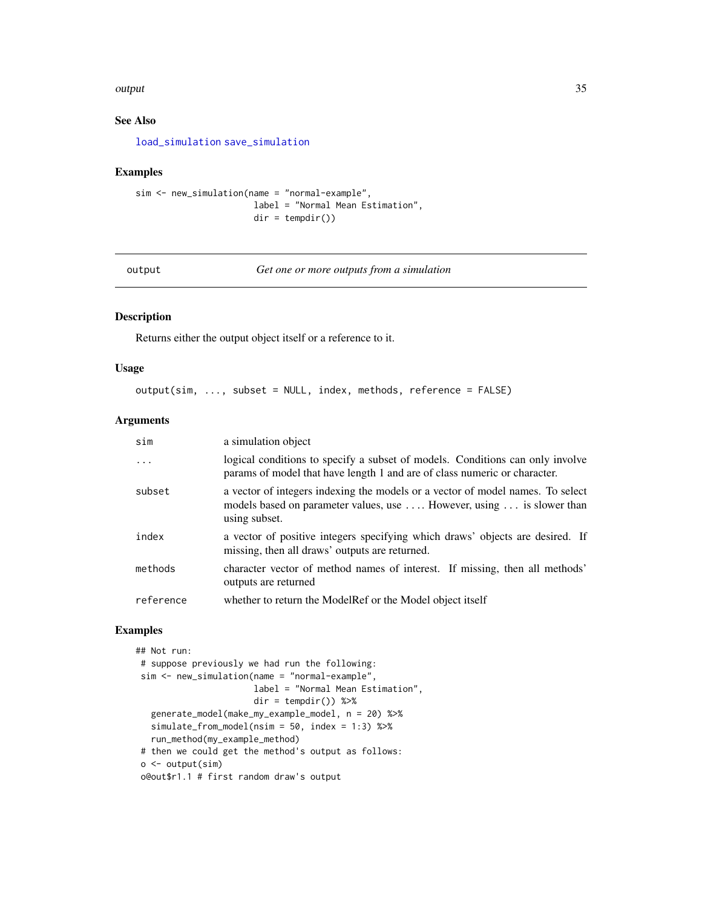#### <span id="page-34-0"></span>output 35 and 35 and 35 and 35 and 35 and 35 and 35 and 35 and 35 and 35 and 35 and 35 and 35 and 35 and 35 and 35

## See Also

[load\\_simulation](#page-23-1) [save\\_simulation](#page-43-1)

#### Examples

```
sim <- new_simulation(name = "normal-example",
                      label = "Normal Mean Estimation",
                      dir = tempdir()
```
<span id="page-34-1"></span>output *Get one or more outputs from a simulation*

#### Description

Returns either the output object itself or a reference to it.

#### Usage

```
output(sim, ..., subset = NULL, index, methods, reference = FALSE)
```
#### Arguments

| sim       | a simulation object                                                                                                                                                      |
|-----------|--------------------------------------------------------------------------------------------------------------------------------------------------------------------------|
| $\ddots$  | logical conditions to specify a subset of models. Conditions can only involve<br>params of model that have length 1 and are of class numeric or character.               |
| subset    | a vector of integers indexing the models or a vector of model names. To select<br>models based on parameter values, use  However, using  is slower than<br>using subset. |
| index     | a vector of positive integers specifying which draws' objects are desired. If<br>missing, then all draws' outputs are returned.                                          |
| methods   | character vector of method names of interest. If missing, then all methods'<br>outputs are returned                                                                      |
| reference | whether to return the ModelRef or the Model object itself                                                                                                                |

## Examples

```
## Not run:
# suppose previously we had run the following:
sim <- new_simulation(name = "normal-example",
                      label = "Normal Mean Estimation",
                      dir = tempdir() %>%
  generate_model(make_my_example_model, n = 20) %>%
  simulate_from_model(nsim = 50, index = 1:3) %>%
  run_method(my_example_method)
# then we could get the method's output as follows:
o <- output(sim)
o@out$r1.1 # first random draw's output
```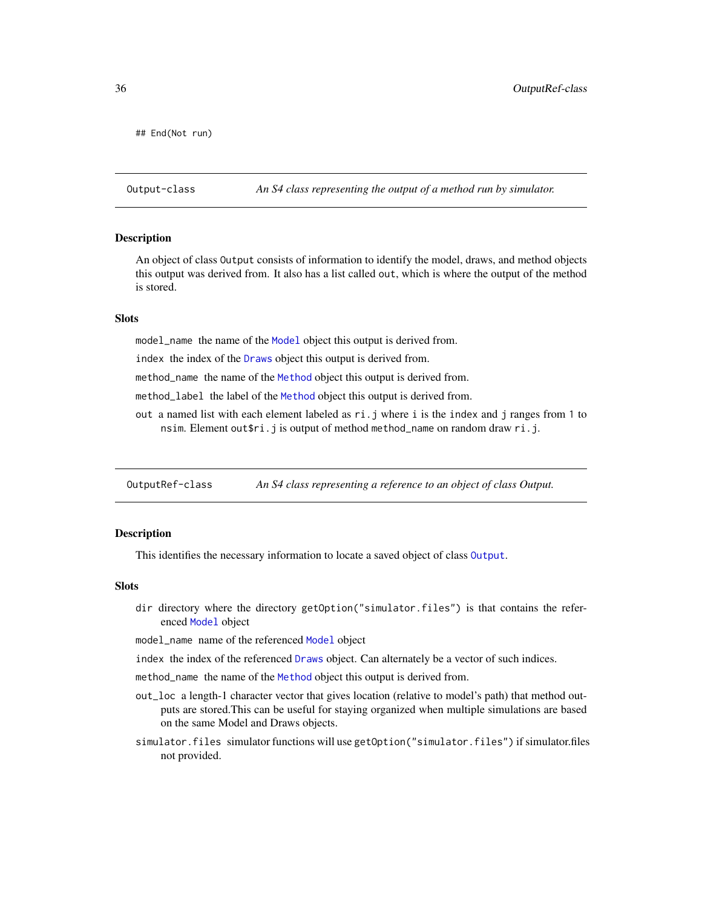<span id="page-35-0"></span>## End(Not run)

<span id="page-35-1"></span>Output-class *An S4 class representing the output of a method run by simulator.*

#### Description

An object of class Output consists of information to identify the model, draws, and method objects this output was derived from. It also has a list called out, which is where the output of the method is stored.

#### **Slots**

model\_name the name of the [Model](#page-27-1) object this output is derived from.

index the index of the [Draws](#page-10-1) object this output is derived from.

method\_name the name of the [Method](#page-25-1) object this output is derived from.

method\_label the label of the [Method](#page-25-1) object this output is derived from.

out a named list with each element labeled as  $ri$ . *j* where i is the index and *j* ranges from 1 to nsim. Element out\$ri.j is output of method method\_name on random draw ri.j.

<span id="page-35-2"></span>OutputRef-class *An S4 class representing a reference to an object of class Output.*

#### Description

This identifies the necessary information to locate a saved object of class [Output](#page-35-1).

## **Slots**

dir directory where the directory getOption("simulator.files") is that contains the referenced [Model](#page-27-1) object

model\_name name of the referenced [Model](#page-27-1) object

index the index of the referenced [Draws](#page-10-1) object. Can alternately be a vector of such indices.

method\_name the name of the [Method](#page-25-1) object this output is derived from.

- out\_loc a length-1 character vector that gives location (relative to model's path) that method outputs are stored.This can be useful for staying organized when multiple simulations are based on the same Model and Draws objects.
- simulator.files simulator functions will use getOption("simulator.files") if simulator.files not provided.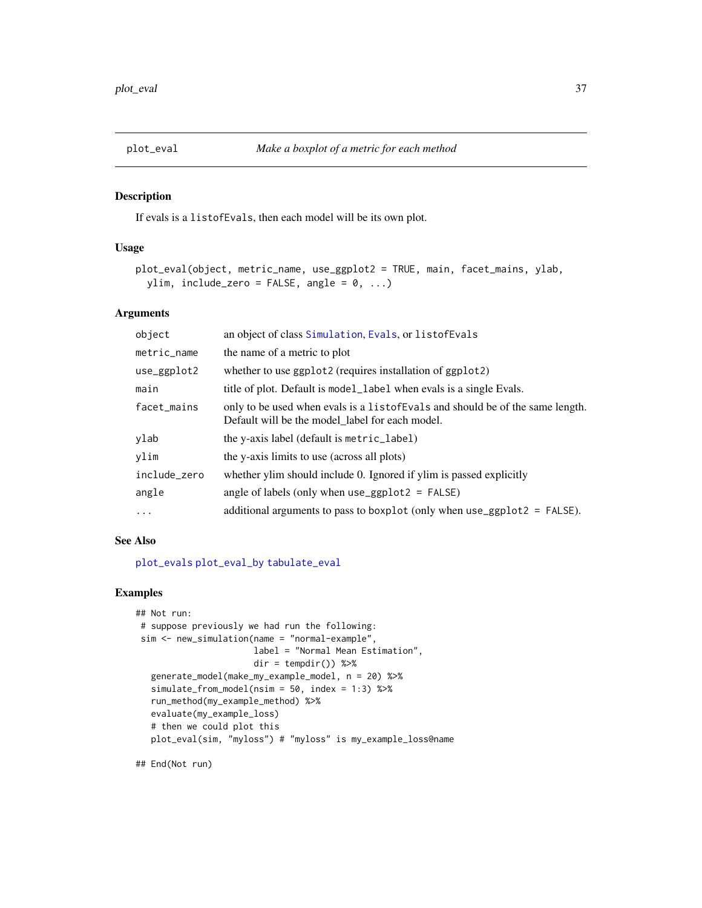<span id="page-36-0"></span>

If evals is a listofEvals, then each model will be its own plot.

#### Usage

```
plot_eval(object, metric_name, use_ggplot2 = TRUE, main, facet_mains, ylab,
 ylim, include_zero = FALSE, angle = 0, ...)
```
#### Arguments

| object       | an object of class Simulation, Evals, or listof Evals                                                                              |
|--------------|------------------------------------------------------------------------------------------------------------------------------------|
| metric_name  | the name of a metric to plot                                                                                                       |
| use_ggplot2  | whether to use ggplot2 (requires installation of ggplot2)                                                                          |
| main         | title of plot. Default is model_label when evals is a single Evals.                                                                |
| facet_mains  | only to be used when evals is a list of Evals and should be of the same length.<br>Default will be the model_label for each model. |
| ylab         | the y-axis label (default is metric_label)                                                                                         |
| vlim         | the y-axis limits to use (across all plots)                                                                                        |
| include_zero | whether ylim should include 0. Ignored if ylim is passed explicitly                                                                |
| angle        | angle of labels (only when $use\_ggplot2 = FALSE$ )                                                                                |
| $\cdots$     | additional arguments to pass to boxplot (only when $use\_ggplot2 = FALSE$ ).                                                       |

#### See Also

#### [plot\\_evals](#page-37-1) [plot\\_eval\\_by](#page-38-1) [tabulate\\_eval](#page-48-1)

## Examples

```
## Not run:
# suppose previously we had run the following:
sim <- new_simulation(name = "normal-example",
                      label = "Normal Mean Estimation",
                      dir = tempdir()) %>%
  generate_model(make_my_example_model, n = 20) %>%
  simulate_from_model(nsim = 50, index = 1:3) %>%
  run_method(my_example_method) %>%
  evaluate(my_example_loss)
  # then we could plot this
  plot_eval(sim, "myloss") # "myloss" is my_example_loss@name
```
## End(Not run)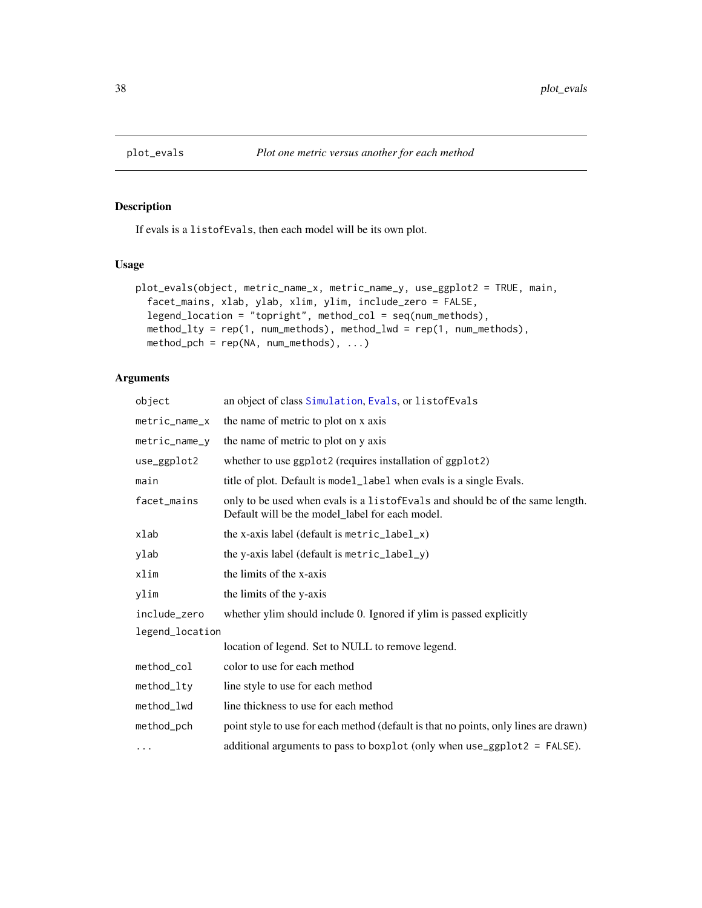If evals is a listofEvals, then each model will be its own plot.

## Usage

```
plot_evals(object, metric_name_x, metric_name_y, use_ggplot2 = TRUE, main,
  facet_mains, xlab, ylab, xlim, ylim, include_zero = FALSE,
  legend_location = "topright", method_col = seq(num_methods),
 method_lty = rep(1, num\_methods), method_lwd = rep(1, num\_methods),
 method\_pch = rep(NA, num\_methods), ...
```

| object          | an object of class Simulation, Evals, or listofEvals                                                                              |
|-----------------|-----------------------------------------------------------------------------------------------------------------------------------|
| metric_name_x   | the name of metric to plot on x axis                                                                                              |
| metric_name_y   | the name of metric to plot on y axis                                                                                              |
| use_ggplot2     | whether to use ggplot2 (requires installation of ggplot2)                                                                         |
| main            | title of plot. Default is model_label when evals is a single Evals.                                                               |
| facet_mains     | only to be used when evals is a listof Evals and should be of the same length.<br>Default will be the model_label for each model. |
| xlab            | the x-axis label (default is $metric\_label\_x)$                                                                                  |
| ylab            | the y-axis label (default is metric_label_y)                                                                                      |
| xlim            | the limits of the x-axis                                                                                                          |
| ylim            | the limits of the y-axis                                                                                                          |
| include_zero    | whether ylim should include 0. Ignored if ylim is passed explicitly                                                               |
| legend_location |                                                                                                                                   |
|                 | location of legend. Set to NULL to remove legend.                                                                                 |
| method_col      | color to use for each method                                                                                                      |
| method_lty      | line style to use for each method                                                                                                 |
| method_lwd      | line thickness to use for each method                                                                                             |
| method_pch      | point style to use for each method (default is that no points, only lines are drawn)                                              |
| .               | additional arguments to pass to boxplot (only when $use\_ggplot2 = FALSE$ ).                                                      |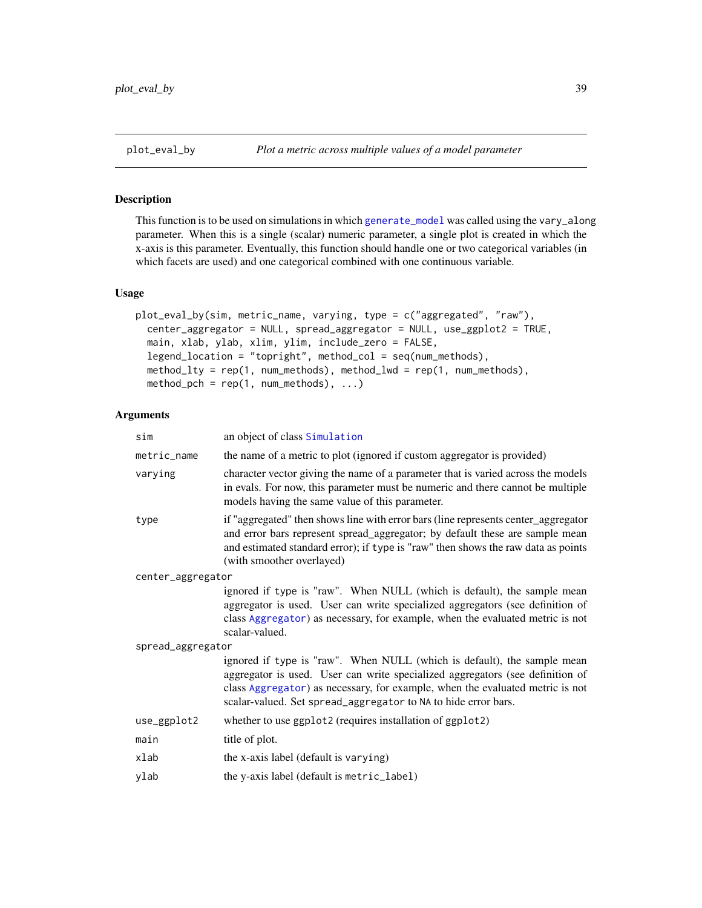<span id="page-38-1"></span><span id="page-38-0"></span>This function is to be used on simulations in which [generate\\_model](#page-16-1) was called using the vary\_along parameter. When this is a single (scalar) numeric parameter, a single plot is created in which the x-axis is this parameter. Eventually, this function should handle one or two categorical variables (in which facets are used) and one categorical combined with one continuous variable.

#### Usage

```
plot_eval_by(sim, metric_name, varying, type = c("aggregated", "raw"),
  center_aggregator = NULL, spread_aggregator = NULL, use_ggplot2 = TRUE,
 main, xlab, ylab, xlim, ylim, include_zero = FALSE,
  legend_location = "topright", method_col = seq(num_methods),
 method_lty = rep(1, num_methods), method_lwd = rep(1, num_methods),
 method_pch = rep(1, num\_methods), ...
```

| sim               | an object of class Simulation                                                                                                                                                                                                                                                                               |  |
|-------------------|-------------------------------------------------------------------------------------------------------------------------------------------------------------------------------------------------------------------------------------------------------------------------------------------------------------|--|
| metric_name       | the name of a metric to plot (ignored if custom aggregator is provided)                                                                                                                                                                                                                                     |  |
| varying           | character vector giving the name of a parameter that is varied across the models<br>in evals. For now, this parameter must be numeric and there cannot be multiple<br>models having the same value of this parameter.                                                                                       |  |
| type              | if "aggregated" then shows line with error bars (line represents center_aggregator<br>and error bars represent spread_aggregator; by default these are sample mean<br>and estimated standard error); if type is "raw" then shows the raw data as points<br>(with smoother overlayed)                        |  |
| center_aggregator |                                                                                                                                                                                                                                                                                                             |  |
|                   | ignored if type is "raw". When NULL (which is default), the sample mean<br>aggregator is used. User can write specialized aggregators (see definition of<br>class Aggregator) as necessary, for example, when the evaluated metric is not<br>scalar-valued.                                                 |  |
| spread_aggregator |                                                                                                                                                                                                                                                                                                             |  |
|                   | ignored if type is "raw". When NULL (which is default), the sample mean<br>aggregator is used. User can write specialized aggregators (see definition of<br>class Aggregator) as necessary, for example, when the evaluated metric is not<br>scalar-valued. Set spread_aggregator to NA to hide error bars. |  |
| use_ggplot2       | whether to use ggplot2 (requires installation of ggplot2)                                                                                                                                                                                                                                                   |  |
| main              | title of plot.                                                                                                                                                                                                                                                                                              |  |
| xlab              | the x-axis label (default is varying)                                                                                                                                                                                                                                                                       |  |
| ylab              | the y-axis label (default is metric_label)                                                                                                                                                                                                                                                                  |  |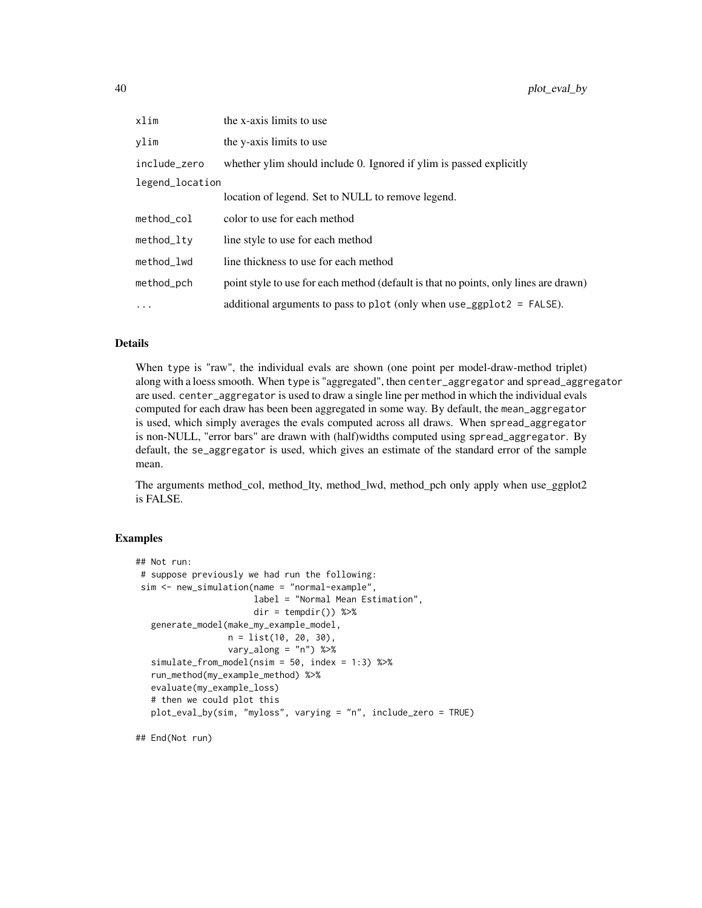| xlim            | the x-axis limits to use                                                             |
|-----------------|--------------------------------------------------------------------------------------|
| vlim            | the y-axis limits to use                                                             |
| include_zero    | whether ylim should include 0. Ignored if ylim is passed explicitly                  |
| legend_location |                                                                                      |
|                 | location of legend. Set to NULL to remove legend.                                    |
| method col      | color to use for each method                                                         |
| method_ltv      | line style to use for each method                                                    |
| method_lwd      | line thickness to use for each method                                                |
| method_pch      | point style to use for each method (default is that no points, only lines are drawn) |
| $\ddots$        | additional arguments to pass to plot (only when $use\_ggplot2 = FALSE$ ).            |

## Details

When type is "raw", the individual evals are shown (one point per model-draw-method triplet) along with a loess smooth. When type is "aggregated", then center\_aggregator and spread\_aggregator are used. center\_aggregator is used to draw a single line per method in which the individual evals computed for each draw has been been aggregated in some way. By default, the mean\_aggregator is used, which simply averages the evals computed across all draws. When spread\_aggregator is non-NULL, "error bars" are drawn with (half)widths computed using spread\_aggregator. By default, the se\_aggregator is used, which gives an estimate of the standard error of the sample mean.

The arguments method\_col, method\_lty, method\_lwd, method\_pch only apply when use\_ggplot2 is FALSE.

#### Examples

```
## Not run:
# suppose previously we had run the following:
 sim <- new_simulation(name = "normal-example",
                       label = "Normal Mean Estimation",
                       dir = tempdir()) %>%
   generate_model(make_my_example_model,
                  n = list(10, 20, 30),
                  vary_along = "n") %>%
   simulate_from_model(nsim = 50, index = 1:3) %>%
   run_method(my_example_method) %>%
   evaluate(my_example_loss)
   # then we could plot this
  plot_eval_by(sim, "myloss", varying = "n", include_zero = TRUE)
```
## End(Not run)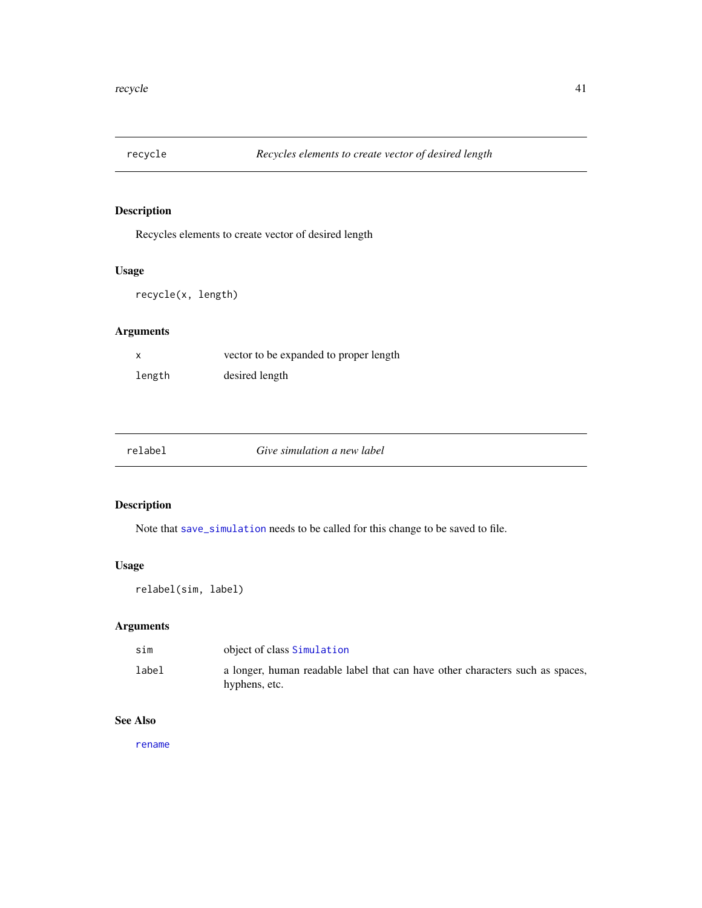<span id="page-40-0"></span>

Recycles elements to create vector of desired length

## Usage

recycle(x, length)

## Arguments

|        | vector to be expanded to proper length |
|--------|----------------------------------------|
| length | desired length                         |

<span id="page-40-1"></span>

relabel *Give simulation a new label*

## Description

Note that [save\\_simulation](#page-43-1) needs to be called for this change to be saved to file.

## Usage

relabel(sim, label)

## Arguments

| sim   | object of class Simulation                                                                     |
|-------|------------------------------------------------------------------------------------------------|
| label | a longer, human readable label that can have other characters such as spaces,<br>hyphens, etc. |

## See Also

[rename](#page-41-1)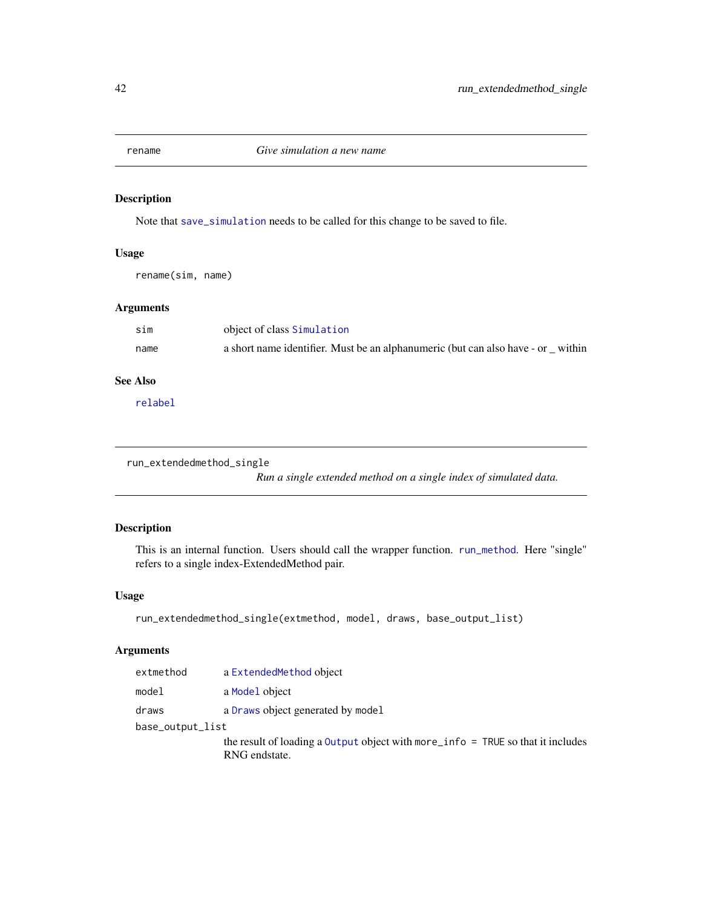<span id="page-41-1"></span><span id="page-41-0"></span>

Note that [save\\_simulation](#page-43-1) needs to be called for this change to be saved to file.

## Usage

rename(sim, name)

## Arguments

| sim  | object of class Simulation                                                      |  |
|------|---------------------------------------------------------------------------------|--|
| name | a short name identifier. Must be an alphanumeric (but can also have - or within |  |

## See Also

[relabel](#page-40-1)

```
run_extendedmethod_single
```
*Run a single extended method on a single index of simulated data.*

## Description

This is an internal function. Users should call the wrapper function. [run\\_method](#page-42-1). Here "single" refers to a single index-ExtendedMethod pair.

#### Usage

```
run_extendedmethod_single(extmethod, model, draws, base_output_list)
```

| extmethod        | a ExtendedMethod object                                                         |
|------------------|---------------------------------------------------------------------------------|
| model            | a Model object                                                                  |
| draws            | a Draws object generated by model                                               |
| base_output_list |                                                                                 |
|                  | the result of loading a Output object with more_info = TRUE so that it includes |
|                  | RNG endstate.                                                                   |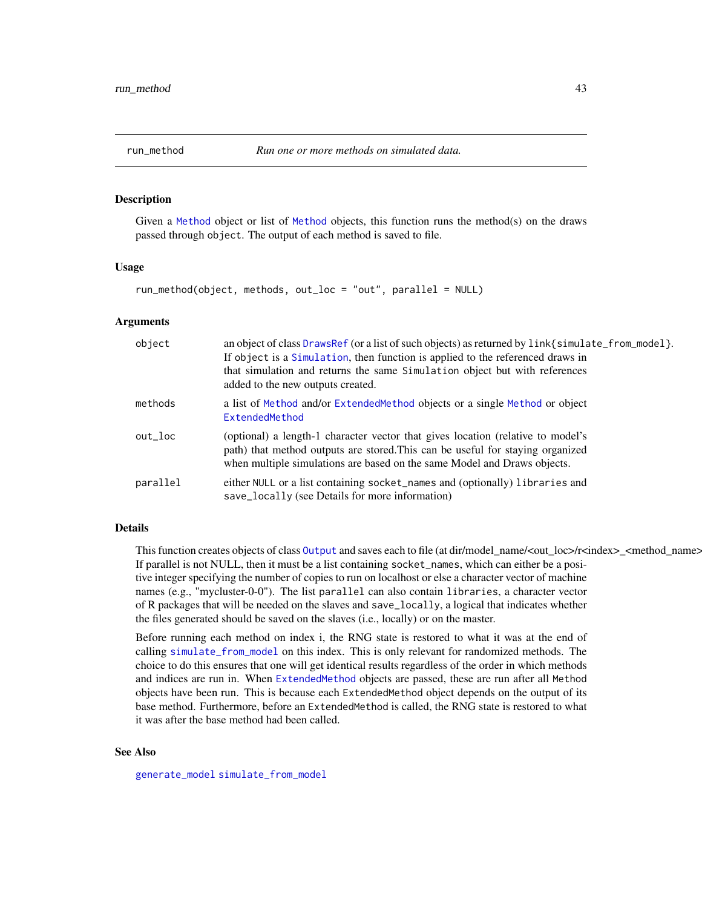<span id="page-42-1"></span><span id="page-42-0"></span>

Given a [Method](#page-25-1) object or list of [Method](#page-25-1) objects, this function runs the method(s) on the draws passed through object. The output of each method is saved to file.

#### Usage

```
run_method(object, methods, out_loc = "out", parallel = NULL)
```
## Arguments

| object   | an object of class DrawsRef (or a list of such objects) as returned by link{simulate_from_model}.<br>If object is a Simulation, then function is applied to the referenced draws in<br>that simulation and returns the same Simulation object but with references<br>added to the new outputs created. |
|----------|--------------------------------------------------------------------------------------------------------------------------------------------------------------------------------------------------------------------------------------------------------------------------------------------------------|
| methods  | a list of Method and/or ExtendedMethod objects or a single Method or object<br>ExtendedMethod                                                                                                                                                                                                          |
| out loc  | (optional) a length-1 character vector that gives location (relative to model's<br>path) that method outputs are stored. This can be useful for staying organized<br>when multiple simulations are based on the same Model and Draws objects.                                                          |
| parallel | either NULL or a list containing socket_names and (optionally) libraries and<br>save_locally (see Details for more information)                                                                                                                                                                        |

#### Details

This function creates objects of class 0 utput and saves each to file (at dir/model\_name/<out\_loc>/r<index> <method\_name> If parallel is not NULL, then it must be a list containing socket\_names, which can either be a positive integer specifying the number of copies to run on localhost or else a character vector of machine names (e.g., "mycluster-0-0"). The list parallel can also contain libraries, a character vector of R packages that will be needed on the slaves and save\_locally, a logical that indicates whether the files generated should be saved on the slaves (i.e., locally) or on the master.

Before running each method on index i, the RNG state is restored to what it was at the end of calling [simulate\\_from\\_model](#page-44-1) on this index. This is only relevant for randomized methods. The choice to do this ensures that one will get identical results regardless of the order in which methods and indices are run in. When [ExtendedMethod](#page-15-1) objects are passed, these are run after all Method objects have been run. This is because each ExtendedMethod object depends on the output of its base method. Furthermore, before an ExtendedMethod is called, the RNG state is restored to what it was after the base method had been called.

#### See Also

[generate\\_model](#page-16-1) [simulate\\_from\\_model](#page-44-1)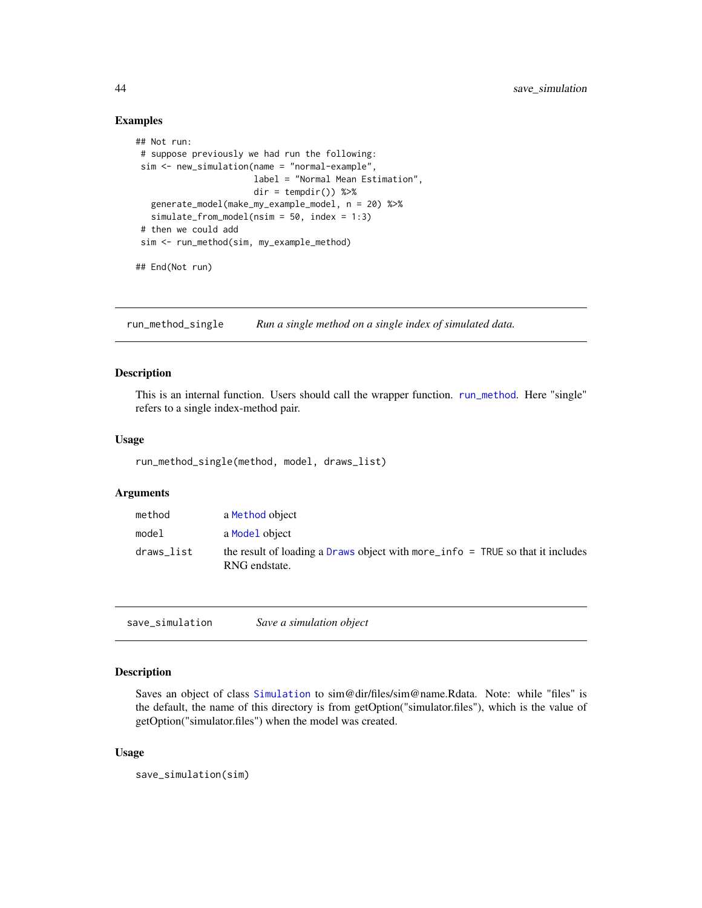#### Examples

```
## Not run:
# suppose previously we had run the following:
sim <- new_simulation(name = "normal-example",
                      label = "Normal Mean Estimation",
                      dir = tempdir() %>%
  generate_model(make_my_example_model, n = 20) %>%
  simulate_from_model(nsim = 50, index = 1:3)
 # then we could add
 sim <- run_method(sim, my_example_method)
## End(Not run)
```
run\_method\_single *Run a single method on a single index of simulated data.*

## Description

This is an internal function. Users should call the wrapper function. [run\\_method](#page-42-1). Here "single" refers to a single index-method pair.

#### Usage

run\_method\_single(method, model, draws\_list)

#### Arguments

| method     | a Method object                                                                                          |
|------------|----------------------------------------------------------------------------------------------------------|
| model      | a Model object                                                                                           |
| draws_list | the result of loading a Draws object with more $\angle$ info = TRUE so that it includes<br>RNG endstate. |

<span id="page-43-1"></span>save\_simulation *Save a simulation object*

## Description

Saves an object of class [Simulation](#page-46-1) to sim@dir/files/sim@name.Rdata. Note: while "files" is the default, the name of this directory is from getOption("simulator.files"), which is the value of getOption("simulator.files") when the model was created.

#### Usage

save\_simulation(sim)

<span id="page-43-0"></span>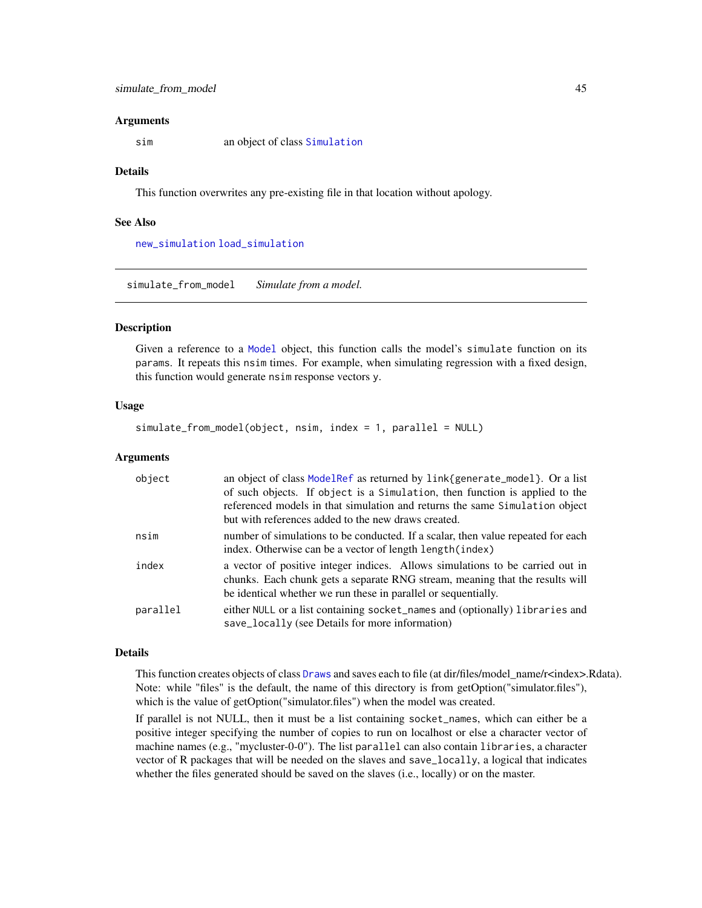#### <span id="page-44-0"></span>Arguments

sim an object of class [Simulation](#page-46-1)

#### Details

This function overwrites any pre-existing file in that location without apology.

#### See Also

[new\\_simulation](#page-33-1) [load\\_simulation](#page-23-1)

<span id="page-44-1"></span>simulate\_from\_model *Simulate from a model.*

## Description

Given a reference to a [Model](#page-27-1) object, this function calls the model's simulate function on its params. It repeats this nsim times. For example, when simulating regression with a fixed design, this function would generate nsim response vectors y.

#### Usage

simulate\_from\_model(object, nsim, index = 1, parallel = NULL)

#### Arguments

| object   | an object of class ModelRef as returned by link{generate_model}. Or a list<br>of such objects. If object is a Simulation, then function is applied to the<br>referenced models in that simulation and returns the same Simulation object<br>but with references added to the new draws created. |
|----------|-------------------------------------------------------------------------------------------------------------------------------------------------------------------------------------------------------------------------------------------------------------------------------------------------|
| nsim     | number of simulations to be conducted. If a scalar, then value repeated for each<br>index. Otherwise can be a vector of length length (index)                                                                                                                                                   |
| index    | a vector of positive integer indices. Allows simulations to be carried out in<br>chunks. Each chunk gets a separate RNG stream, meaning that the results will<br>be identical whether we run these in parallel or sequentially.                                                                 |
| parallel | either NULL or a list containing socket_names and (optionally) libraries and<br>save_locally (see Details for more information)                                                                                                                                                                 |

#### Details

This function creates objects of class [Draws](#page-10-1) and saves each to file (at dir/files/model\_name/r<index>.Rdata). Note: while "files" is the default, the name of this directory is from getOption("simulator.files"), which is the value of getOption("simulator.files") when the model was created.

If parallel is not NULL, then it must be a list containing socket\_names, which can either be a positive integer specifying the number of copies to run on localhost or else a character vector of machine names (e.g., "mycluster-0-0"). The list parallel can also contain libraries, a character vector of R packages that will be needed on the slaves and save\_locally, a logical that indicates whether the files generated should be saved on the slaves (i.e., locally) or on the master.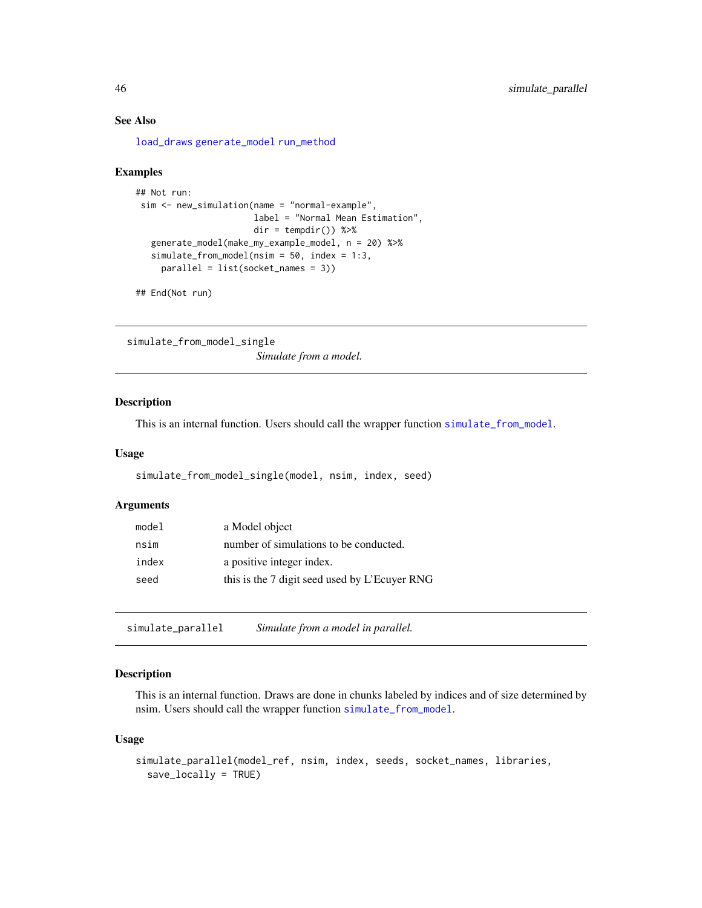## See Also

[load\\_draws](#page-21-1) [generate\\_model](#page-16-1) [run\\_method](#page-42-1)

#### Examples

```
## Not run:
sim <- new_simulation(name = "normal-example",
                      label = "Normal Mean Estimation",
                      dir = tempdir() %>%
   generate_model(make_my_example_model, n = 20) %>%
  simulate_from_model(nsim = 50, index = 1:3,
    parallel = list(socket_names = 3))
```
## End(Not run)

simulate\_from\_model\_single *Simulate from a model.*

#### Description

This is an internal function. Users should call the wrapper function [simulate\\_from\\_model](#page-44-1).

#### Usage

```
simulate_from_model_single(model, nsim, index, seed)
```
## Arguments

| model | a Model object                                |
|-------|-----------------------------------------------|
| nsim  | number of simulations to be conducted.        |
| index | a positive integer index.                     |
| seed  | this is the 7 digit seed used by L'Ecuver RNG |

simulate\_parallel *Simulate from a model in parallel.*

## Description

This is an internal function. Draws are done in chunks labeled by indices and of size determined by nsim. Users should call the wrapper function [simulate\\_from\\_model](#page-44-1).

#### Usage

```
simulate_parallel(model_ref, nsim, index, seeds, socket_names, libraries,
  save_locally = TRUE)
```
<span id="page-45-0"></span>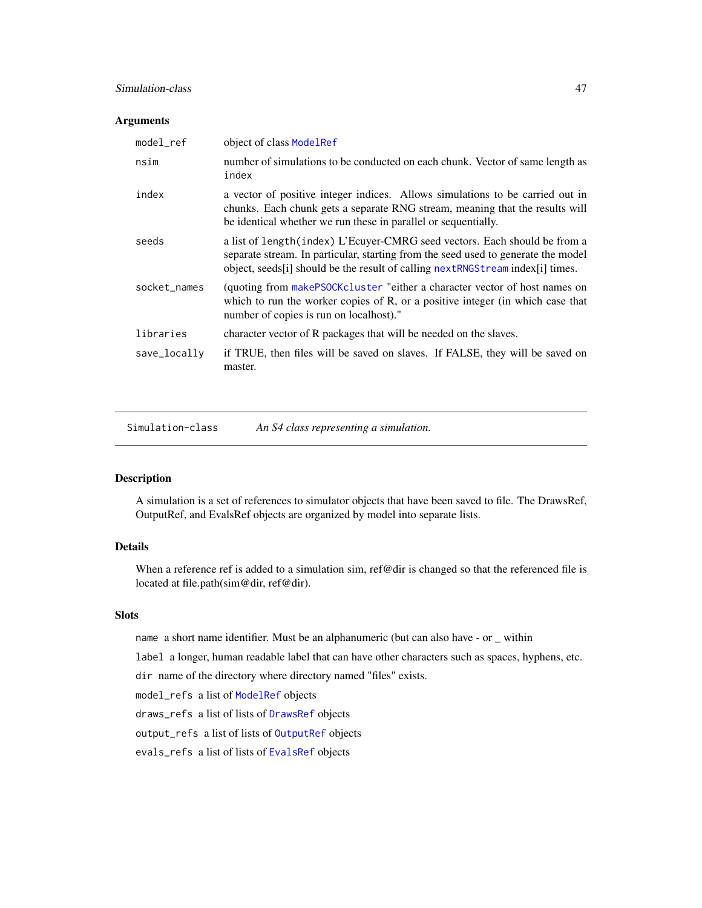## <span id="page-46-0"></span>Simulation-class 47

## Arguments

| model_ref    | object of class ModelRef                                                                                                                                                                                                                             |
|--------------|------------------------------------------------------------------------------------------------------------------------------------------------------------------------------------------------------------------------------------------------------|
| nsim         | number of simulations to be conducted on each chunk. Vector of same length as<br>index                                                                                                                                                               |
| index        | a vector of positive integer indices. Allows simulations to be carried out in<br>chunks. Each chunk gets a separate RNG stream, meaning that the results will<br>be identical whether we run these in parallel or sequentially.                      |
| seeds        | a list of length (index) L'Ecuyer-CMRG seed vectors. Each should be from a<br>separate stream. In particular, starting from the seed used to generate the model<br>object, seeds [i] should be the result of calling $nextRNGStream index[i]$ times. |
| socket_names | (quoting from makePSOCKcluster "either a character vector of host names on<br>which to run the worker copies of R, or a positive integer (in which case that<br>number of copies is run on localhost)."                                              |
| libraries    | character vector of R packages that will be needed on the slaves.                                                                                                                                                                                    |
| save_locally | if TRUE, then files will be saved on slaves. If FALSE, they will be saved on<br>master.                                                                                                                                                              |

<span id="page-46-1"></span>Simulation-class *An S4 class representing a simulation.*

## Description

A simulation is a set of references to simulator objects that have been saved to file. The DrawsRef, OutputRef, and EvalsRef objects are organized by model into separate lists.

## Details

When a reference ref is added to a simulation sim, ref@dir is changed so that the referenced file is located at file.path(sim@dir, ref@dir).

#### **Slots**

name a short name identifier. Must be an alphanumeric (but can also have - or \_ within

label a longer, human readable label that can have other characters such as spaces, hyphens, etc.

dir name of the directory where directory named "files" exists.

model\_refs a list of [ModelRef](#page-28-1) objects

draws\_refs a list of lists of [DrawsRef](#page-10-2) objects

output\_refs a list of lists of [OutputRef](#page-35-2) objects

evals\_refs a list of lists of [EvalsRef](#page-12-2) objects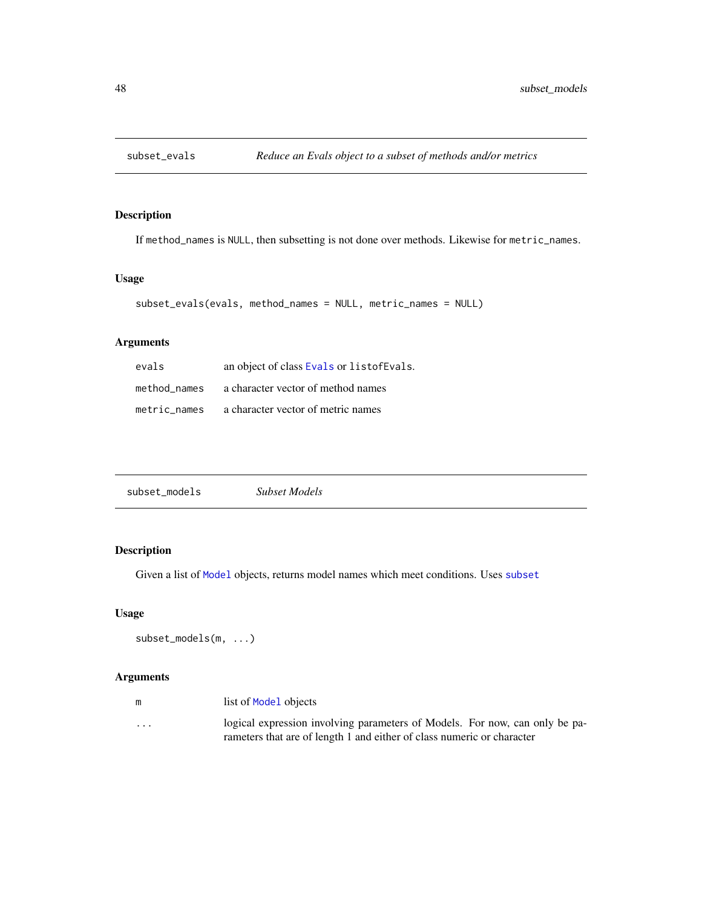<span id="page-47-0"></span>

If method\_names is NULL, then subsetting is not done over methods. Likewise for metric\_names.

## Usage

```
subset_evals(evals, method_names = NULL, metric_names = NULL)
```
## Arguments

| evals        | an object of class Evals or listof Evals. |
|--------------|-------------------------------------------|
| method names | a character vector of method names        |
| metric names | a character vector of metric names        |

| subset_models | <b>Subset Models</b> |  |
|---------------|----------------------|--|
|---------------|----------------------|--|

## Description

Given a list of [Model](#page-27-1) objects, returns model names which meet conditions. Uses [subset](#page-0-0)

## Usage

```
subset_models(m, ...)
```

| m        | list of Model objects                                                                                                                                 |
|----------|-------------------------------------------------------------------------------------------------------------------------------------------------------|
| $\cdots$ | logical expression involving parameters of Models. For now, can only be pa-<br>rameters that are of length 1 and either of class numeric or character |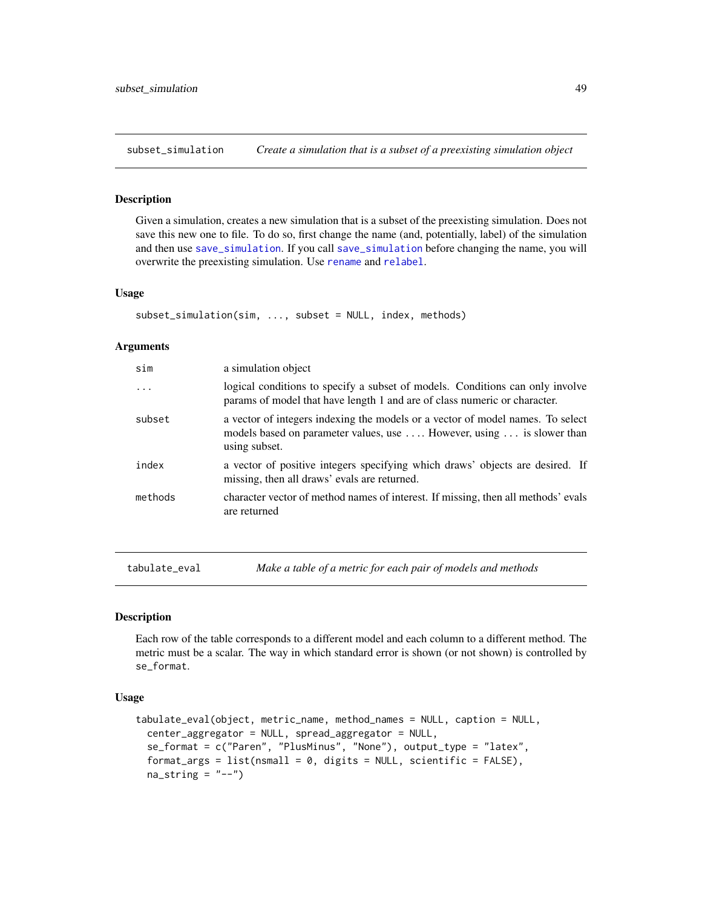<span id="page-48-0"></span>subset\_simulation *Create a simulation that is a subset of a preexisting simulation object*

#### Description

Given a simulation, creates a new simulation that is a subset of the preexisting simulation. Does not save this new one to file. To do so, first change the name (and, potentially, label) of the simulation and then use [save\\_simulation](#page-43-1). If you call [save\\_simulation](#page-43-1) before changing the name, you will overwrite the preexisting simulation. Use [rename](#page-41-1) and [relabel](#page-40-1).

#### Usage

```
subset_simulation(sim, ..., subset = NULL, index, methods)
```
#### Arguments

| sim      | a simulation object                                                                                                                                                      |
|----------|--------------------------------------------------------------------------------------------------------------------------------------------------------------------------|
| $\ddots$ | logical conditions to specify a subset of models. Conditions can only involve<br>params of model that have length 1 and are of class numeric or character.               |
| subset   | a vector of integers indexing the models or a vector of model names. To select<br>models based on parameter values, use  However, using  is slower than<br>using subset. |
| index    | a vector of positive integers specifying which draws' objects are desired. If<br>missing, then all draws' evals are returned.                                            |
| methods  | character vector of method names of interest. If missing, then all methods' evals<br>are returned                                                                        |

<span id="page-48-1"></span>tabulate\_eval *Make a table of a metric for each pair of models and methods*

## **Description**

Each row of the table corresponds to a different model and each column to a different method. The metric must be a scalar. The way in which standard error is shown (or not shown) is controlled by se\_format.

#### Usage

```
tabulate_eval(object, metric_name, method_names = NULL, caption = NULL,
 center_aggregator = NULL, spread_aggregator = NULL,
 se_format = c("Paren", "PlusMinus", "None"), output_type = "latex",
 format_args = list(nsmall = 0, digits = NULL, scientific = FALSE),na\_string = "-")
```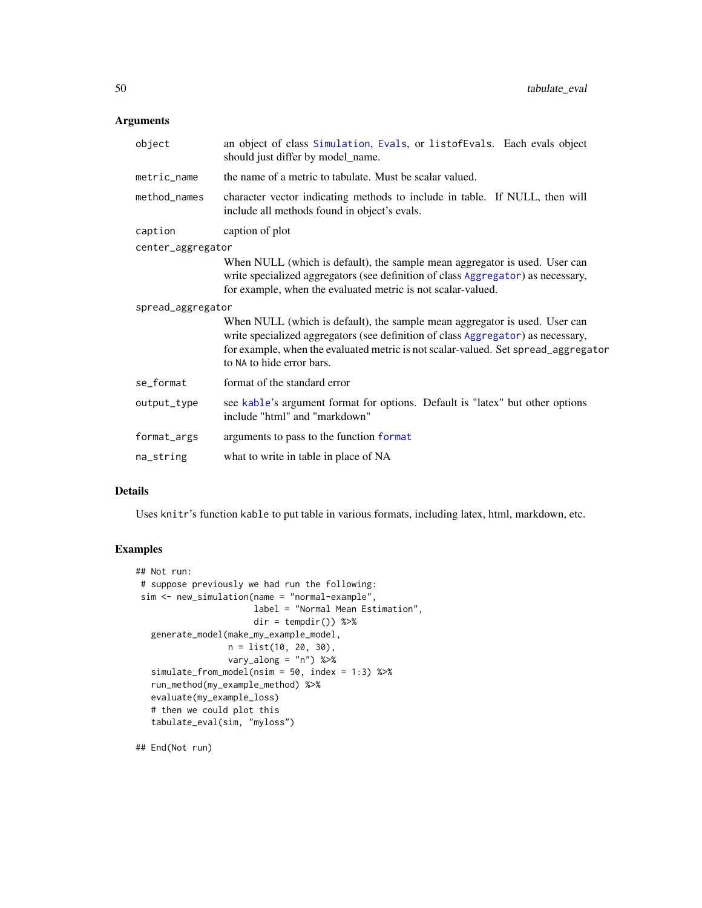## <span id="page-49-0"></span>Arguments

| object            | an object of class Simulation, Evals, or listofEvals. Each evals object<br>should just differ by model_name.                                                                                                                                                                      |
|-------------------|-----------------------------------------------------------------------------------------------------------------------------------------------------------------------------------------------------------------------------------------------------------------------------------|
| metric_name       | the name of a metric to tabulate. Must be scalar valued.                                                                                                                                                                                                                          |
| method_names      | character vector indicating methods to include in table. If NULL, then will<br>include all methods found in object's evals.                                                                                                                                                       |
| caption           | caption of plot                                                                                                                                                                                                                                                                   |
| center_aggregator |                                                                                                                                                                                                                                                                                   |
|                   | When NULL (which is default), the sample mean aggregator is used. User can<br>write specialized aggregators (see definition of class Aggregator) as necessary,<br>for example, when the evaluated metric is not scalar-valued.                                                    |
| spread_aggregator |                                                                                                                                                                                                                                                                                   |
|                   | When NULL (which is default), the sample mean aggregator is used. User can<br>write specialized aggregators (see definition of class Aggregator) as necessary,<br>for example, when the evaluated metric is not scalar-valued. Set spread_aggregator<br>to NA to hide error bars. |
| se_format         | format of the standard error                                                                                                                                                                                                                                                      |
| output_type       | see kable's argument format for options. Default is "latex" but other options<br>include "html" and "markdown"                                                                                                                                                                    |
| format_args       | arguments to pass to the function format                                                                                                                                                                                                                                          |
| na_string         | what to write in table in place of NA                                                                                                                                                                                                                                             |

## Details

Uses knitr's function kable to put table in various formats, including latex, html, markdown, etc.

## Examples

```
## Not run:
# suppose previously we had run the following:
sim <- new_simulation(name = "normal-example",
                      label = "Normal Mean Estimation",
                      dir = tempdir()) %>%
  generate_model(make_my_example_model,
                 n = list(10, 20, 30),
                 vary_along = "n") %>%
  simulate_from_model(nsim = 50, index = 1:3) %>%
  run_method(my_example_method) %>%
  evaluate(my_example_loss)
  # then we could plot this
  tabulate_eval(sim, "myloss")
```
## End(Not run)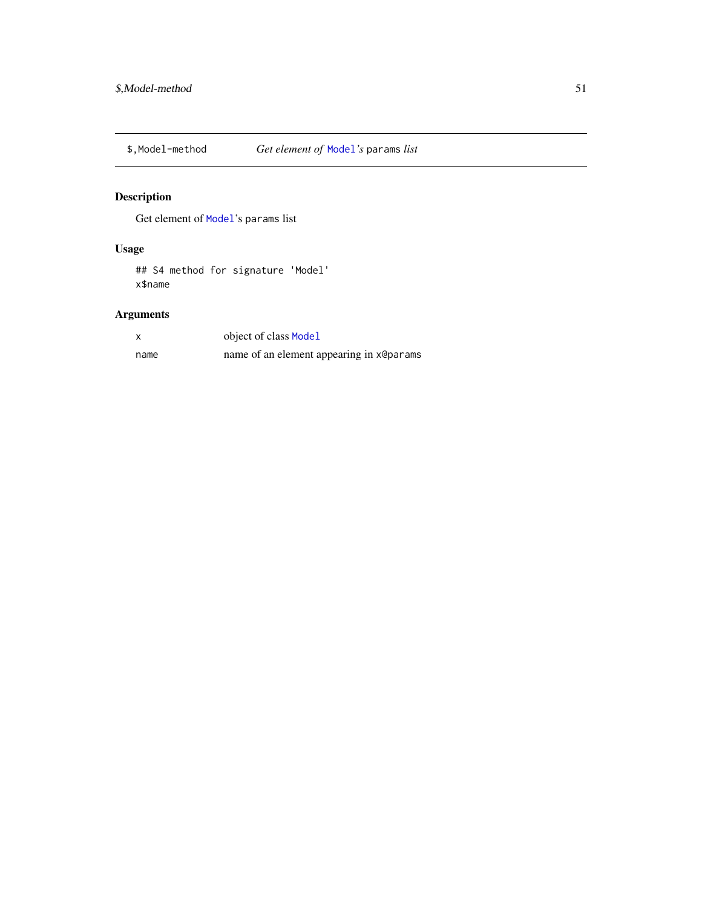<span id="page-50-0"></span>

Get element of [Model](#page-27-1)'s params list

## Usage

## S4 method for signature 'Model' x\$name

|      | object of class Model                    |
|------|------------------------------------------|
| name | name of an element appearing in x@params |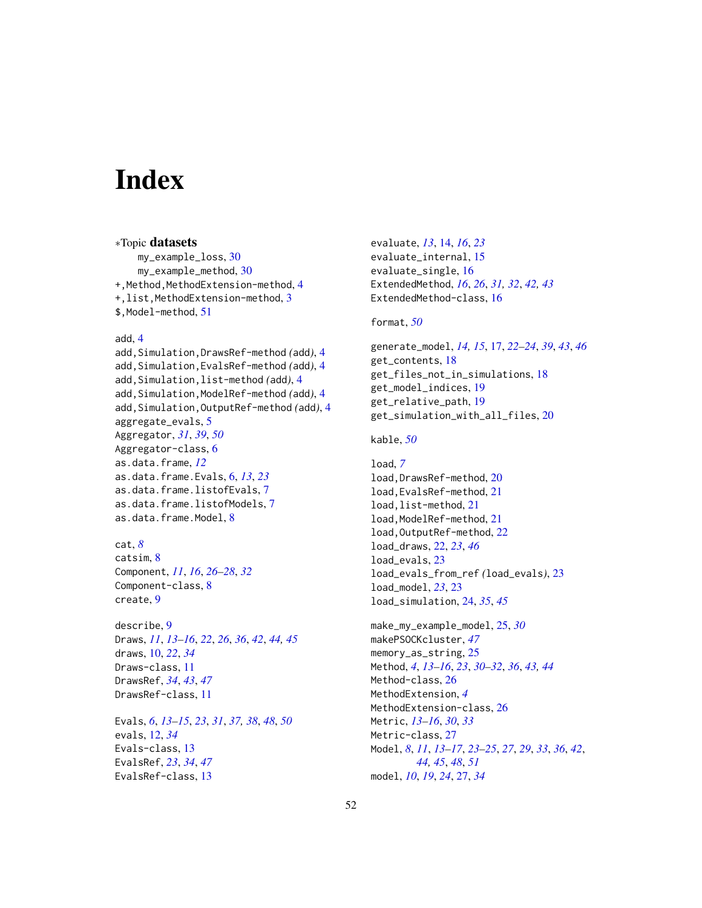# <span id="page-51-0"></span>**Index**

∗Topic datasets my\_example\_loss, [30](#page-29-0) my\_example\_method, [30](#page-29-0) +, Method, MethodExtension-method, [4](#page-3-0) +,list,MethodExtension-method, [3](#page-2-0) \$,Model-method, [51](#page-50-0)

## add, [4](#page-3-0)

add,Simulation,DrawsRef-method *(*add*)*, [4](#page-3-0) add,Simulation,EvalsRef-method *(*add*)*, [4](#page-3-0) add,Simulation,list-method *(*add*)*, [4](#page-3-0) add,Simulation,ModelRef-method *(*add*)*, [4](#page-3-0) add,Simulation,OutputRef-method *(*add*)*, [4](#page-3-0) aggregate\_evals, [5](#page-4-0) Aggregator, *[31](#page-30-0)*, *[39](#page-38-0)*, *[50](#page-49-0)* Aggregator-class, [6](#page-5-0) as.data.frame, *[12](#page-11-0)* as.data.frame.Evals, [6,](#page-5-0) *[13](#page-12-0)*, *[23](#page-22-0)* as.data.frame.listofEvals, [7](#page-6-0) as.data.frame.listofModels, [7](#page-6-0) as.data.frame.Model, [8](#page-7-0)

## cat, *[8](#page-7-0)*

catsim, [8](#page-7-0) Component, *[11](#page-10-0)*, *[16](#page-15-0)*, *[26](#page-25-0)[–28](#page-27-0)*, *[32](#page-31-0)* Component-class, [8](#page-7-0) create, [9](#page-8-0)

describe, [9](#page-8-0) Draws, *[11](#page-10-0)*, *[13](#page-12-0)[–16](#page-15-0)*, *[22](#page-21-0)*, *[26](#page-25-0)*, *[36](#page-35-0)*, *[42](#page-41-0)*, *[44,](#page-43-0) [45](#page-44-0)* draws, [10,](#page-9-0) *[22](#page-21-0)*, *[34](#page-33-0)* Draws-class, [11](#page-10-0) DrawsRef, *[34](#page-33-0)*, *[43](#page-42-0)*, *[47](#page-46-0)* DrawsRef-class, [11](#page-10-0)

Evals, *[6](#page-5-0)*, *[13](#page-12-0)[–15](#page-14-0)*, *[23](#page-22-0)*, *[31](#page-30-0)*, *[37,](#page-36-0) [38](#page-37-0)*, *[48](#page-47-0)*, *[50](#page-49-0)* evals, [12,](#page-11-0) *[34](#page-33-0)* Evals-class, [13](#page-12-0) EvalsRef, *[23](#page-22-0)*, *[34](#page-33-0)*, *[47](#page-46-0)* EvalsRef-class, [13](#page-12-0)

evaluate, *[13](#page-12-0)*, [14,](#page-13-0) *[16](#page-15-0)*, *[23](#page-22-0)* evaluate\_internal, [15](#page-14-0) evaluate\_single, [16](#page-15-0) ExtendedMethod, *[16](#page-15-0)*, *[26](#page-25-0)*, *[31,](#page-30-0) [32](#page-31-0)*, *[42,](#page-41-0) [43](#page-42-0)* ExtendedMethod-class, [16](#page-15-0)

## format, *[50](#page-49-0)*

generate\_model, *[14,](#page-13-0) [15](#page-14-0)*, [17,](#page-16-0) *[22–](#page-21-0)[24](#page-23-0)*, *[39](#page-38-0)*, *[43](#page-42-0)*, *[46](#page-45-0)* get\_contents, [18](#page-17-0) get\_files\_not\_in\_simulations, [18](#page-17-0) get\_model\_indices, [19](#page-18-0) get\_relative\_path, [19](#page-18-0) get\_simulation\_with\_all\_files, [20](#page-19-0)

#### kable, *[50](#page-49-0)*

load, *[7](#page-6-0)* load,DrawsRef-method, [20](#page-19-0) load,EvalsRef-method, [21](#page-20-0) load,list-method, [21](#page-20-0) load, ModelRef-method, [21](#page-20-0) load,OutputRef-method, [22](#page-21-0) load\_draws, [22,](#page-21-0) *[23](#page-22-0)*, *[46](#page-45-0)* load\_evals, [23](#page-22-0) load\_evals\_from\_ref *(*load\_evals*)*, [23](#page-22-0) load\_model, *[23](#page-22-0)*, [23](#page-22-0) load\_simulation, [24,](#page-23-0) *[35](#page-34-0)*, *[45](#page-44-0)*

make\_my\_example\_model, [25,](#page-24-0) *[30](#page-29-0)* makePSOCKcluster, *[47](#page-46-0)* memory\_as\_string, [25](#page-24-0) Method, *[4](#page-3-0)*, *[13](#page-12-0)[–16](#page-15-0)*, *[23](#page-22-0)*, *[30](#page-29-0)[–32](#page-31-0)*, *[36](#page-35-0)*, *[43,](#page-42-0) [44](#page-43-0)* Method-class, [26](#page-25-0) MethodExtension, *[4](#page-3-0)* MethodExtension-class, [26](#page-25-0) Metric, *[13](#page-12-0)[–16](#page-15-0)*, *[30](#page-29-0)*, *[33](#page-32-0)* Metric-class, [27](#page-26-0) Model, *[8](#page-7-0)*, *[11](#page-10-0)*, *[13](#page-12-0)[–17](#page-16-0)*, *[23](#page-22-0)[–25](#page-24-0)*, *[27](#page-26-0)*, *[29](#page-28-0)*, *[33](#page-32-0)*, *[36](#page-35-0)*, *[42](#page-41-0)*, *[44,](#page-43-0) [45](#page-44-0)*, *[48](#page-47-0)*, *[51](#page-50-0)* model, *[10](#page-9-0)*, *[19](#page-18-0)*, *[24](#page-23-0)*, [27,](#page-26-0) *[34](#page-33-0)*